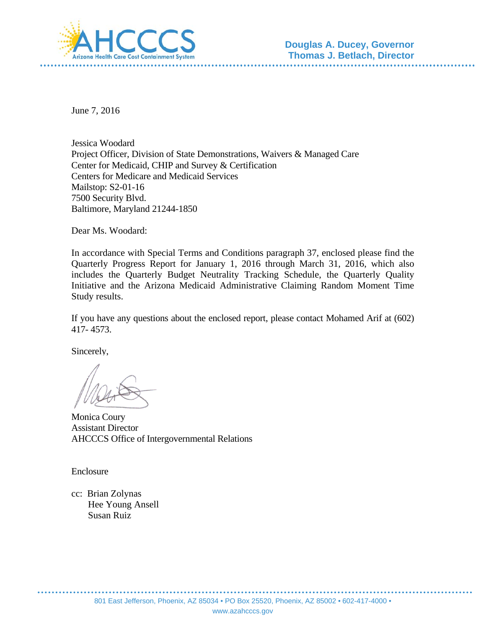

June 7, 2016

Jessica Woodard Project Officer, Division of State Demonstrations, Waivers & Managed Care Center for Medicaid, CHIP and Survey & Certification Centers for Medicare and Medicaid Services Mailstop: S2-01-16 7500 Security Blvd. Baltimore, Maryland 21244-1850

Dear Ms. Woodard:

In accordance with Special Terms and Conditions paragraph 37, enclosed please find the Quarterly Progress Report for January 1, 2016 through March 31, 2016, which also includes the Quarterly Budget Neutrality Tracking Schedule, the Quarterly Quality Initiative and the Arizona Medicaid Administrative Claiming Random Moment Time Study results.

If you have any questions about the enclosed report, please contact Mohamed Arif at (602) 417- 4573.

Sincerely,

Monica Coury Assistant Director AHCCCS Office of Intergovernmental Relations

Enclosure

cc: Brian Zolynas Hee Young Ansell Susan Ruiz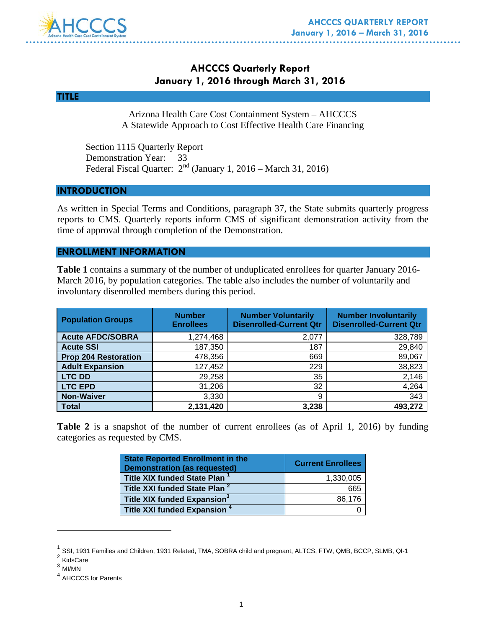

# **AHCCCS Quarterly Report January 1, 2016 through March 31, 2016**



Arizona Health Care Cost Containment System – AHCCCS A Statewide Approach to Cost Effective Health Care Financing

 Section 1115 Quarterly Report Demonstration Year: 33 Federal Fiscal Quarter:  $2<sup>nd</sup>$  (January 1, 2016 – March 31, 2016)

# **INTRODUCTION**

As written in Special Terms and Conditions, paragraph 37, the State submits quarterly progress reports to CMS. Quarterly reports inform CMS of significant demonstration activity from the time of approval through completion of the Demonstration.

## **ENROLLMENT INFORMATION**

**Table 1** contains a summary of the number of unduplicated enrollees for quarter January 2016- March 2016, by population categories. The table also includes the number of voluntarily and involuntary disenrolled members during this period.

| <b>Population Groups</b>    | <b>Number</b><br><b>Enrollees</b> | <b>Number Voluntarily</b><br><b>Disenrolled-Current Qtr</b> | <b>Number Involuntarily</b><br><b>Disenrolled-Current Qtr</b> |
|-----------------------------|-----------------------------------|-------------------------------------------------------------|---------------------------------------------------------------|
| <b>Acute AFDC/SOBRA</b>     | 1,274,468                         | 2,077                                                       | 328,789                                                       |
| <b>Acute SSI</b>            | 187,350                           | 187                                                         | 29,840                                                        |
| <b>Prop 204 Restoration</b> | 478,356                           | 669                                                         | 89,067                                                        |
| <b>Adult Expansion</b>      | 127,452                           | 229                                                         | 38,823                                                        |
| <b>LTC DD</b>               | 29,258                            | 35                                                          | 2,146                                                         |
| <b>LTC EPD</b>              | 31,206                            | 32                                                          | 4,264                                                         |
| <b>Non-Waiver</b>           | 3,330                             | 9                                                           | 343                                                           |
| <b>Total</b>                | 2,131,420                         | 3,238                                                       | 493,272                                                       |

**Table 2** is a snapshot of the number of current enrollees (as of April 1, 2016) by funding categories as requested by CMS.

| <b>State Reported Enrollment in the</b><br><b>Demonstration (as requested)</b> | <b>Current Enrollees</b> |
|--------------------------------------------------------------------------------|--------------------------|
| <b>Title XIX funded State Plan</b>                                             | 1,330,005                |
| Title XXI funded State Plan <sup>2</sup>                                       | 665                      |
| Title XIX funded Expansion <sup>3</sup>                                        | 86,176                   |
| Title XXI funded Expansion <sup>4</sup>                                        |                          |

 $<sup>1</sup>$  SSI, 1931 Families and Children, 1931 Related, TMA, SOBRA child and pregnant, ALTCS, FTW, QMB, BCCP, SLMB, QI-1</sup>  $2$  KidsCare

 $\overline{a}$ 

<sup>3</sup> MI/MN

<sup>4</sup> AHCCCS for Parents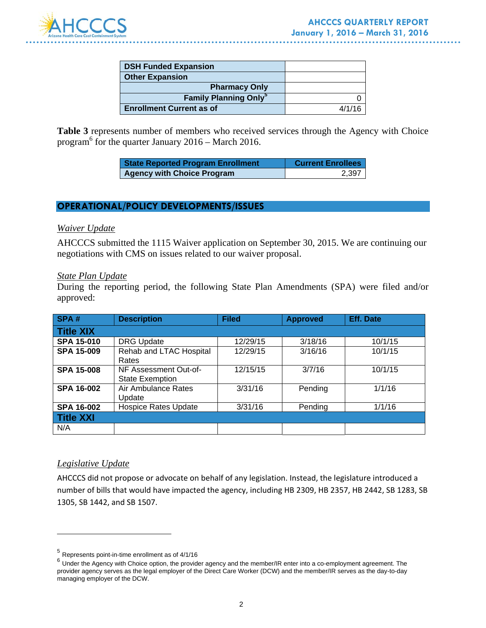

| <b>DSH Funded Expansion</b>             |        |
|-----------------------------------------|--------|
| <b>Other Expansion</b>                  |        |
| <b>Pharmacy Only</b>                    |        |
| <b>Family Planning Only<sup>5</sup></b> |        |
| <b>Enrollment Current as of</b>         | 4/1/16 |

**Table 3** represents number of members who received services through the Agency with Choice program $^6$  for the quarter January 2016 – March 2016.

| <b>State Reported Program Enrollment</b> | <b>Current Enrollees</b> |
|------------------------------------------|--------------------------|
| <b>Agency with Choice Program</b>        | 2,397                    |

## **OPERATIONAL/POLICY DEVELOPMENTS/ISSUES**

### *Waiver Update*

AHCCCS submitted the 1115 Waiver application on September 30, 2015. We are continuing our negotiations with CMS on issues related to our waiver proposal.

### *State Plan Update*

During the reporting period, the following State Plan Amendments (SPA) were filed and/or approved:

| SPA#              | <b>Description</b>                              | <b>Filed</b> | <b>Approved</b> | <b>Eff. Date</b> |
|-------------------|-------------------------------------------------|--------------|-----------------|------------------|
| <b>Title XIX</b>  |                                                 |              |                 |                  |
| <b>SPA 15-010</b> | <b>DRG Update</b>                               | 12/29/15     | 3/18/16         | 10/1/15          |
| <b>SPA 15-009</b> | Rehab and LTAC Hospital<br>Rates                | 12/29/15     | 3/16/16         | 10/1/15          |
| <b>SPA 15-008</b> | NF Assessment Out-of-<br><b>State Exemption</b> | 12/15/15     | 3/7/16          | 10/1/15          |
| <b>SPA 16-002</b> | Air Ambulance Rates<br>Update                   | 3/31/16      | Pending         | 1/1/16           |
| <b>SPA 16-002</b> | <b>Hospice Rates Update</b>                     | 3/31/16      | Pending         | 1/1/16           |
| <b>Title XXI</b>  |                                                 |              |                 |                  |
| N/A               |                                                 |              |                 |                  |

## *Legislative Update*

 $\overline{a}$ 

AHCCCS did not propose or advocate on behalf of any legislation. Instead, the legislature introduced a number of bills that would have impacted the agency, including HB 2309, HB 2357, HB 2442, SB 1283, SB 1305, SB 1442, and SB 1507.

<sup>5</sup> Represents point-in-time enrollment as of 4/1/16

 $6$  Under the Agency with Choice option, the provider agency and the member/IR enter into a co-employment agreement. The provider agency serves as the legal employer of the Direct Care Worker (DCW) and the member/IR serves as the day-to-day managing employer of the DCW.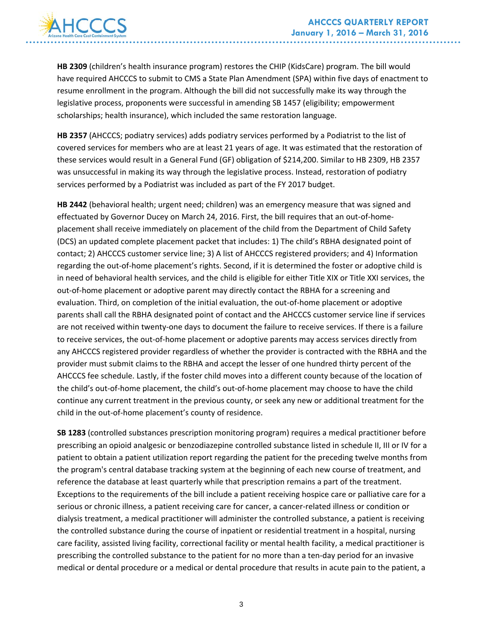

**HB 2309** (children's health insurance program) restores the CHIP (KidsCare) program. The bill would have required AHCCCS to submit to CMS a State Plan Amendment (SPA) within five days of enactment to resume enrollment in the program. Although the bill did not successfully make its way through the legislative process, proponents were successful in amending SB 1457 (eligibility; empowerment scholarships; health insurance), which included the same restoration language.

**HB 2357** (AHCCCS; podiatry services) adds podiatry services performed by a Podiatrist to the list of covered services for members who are at least 21 years of age. It was estimated that the restoration of these services would result in a General Fund (GF) obligation of \$214,200. Similar to HB 2309, HB 2357 was unsuccessful in making its way through the legislative process. Instead, restoration of podiatry services performed by a Podiatrist was included as part of the FY 2017 budget.

**HB 2442** (behavioral health; urgent need; children) was an emergency measure that was signed and effectuated by Governor Ducey on March 24, 2016. First, the bill requires that an out-of-homeplacement shall receive immediately on placement of the child from the Department of Child Safety (DCS) an updated complete placement packet that includes: 1) The child's RBHA designated point of contact; 2) AHCCCS customer service line; 3) A list of AHCCCS registered providers; and 4) Information regarding the out‐of‐home placement's rights. Second, if it is determined the foster or adoptive child is in need of behavioral health services, and the child is eligible for either Title XIX or Title XXI services, the out‐of‐home placement or adoptive parent may directly contact the RBHA for a screening and evaluation. Third, on completion of the initial evaluation, the out‐of‐home placement or adoptive parents shall call the RBHA designated point of contact and the AHCCCS customer service line if services are not received within twenty-one days to document the failure to receive services. If there is a failure to receive services, the out‐of‐home placement or adoptive parents may access services directly from any AHCCCS registered provider regardless of whether the provider is contracted with the RBHA and the provider must submit claims to the RBHA and accept the lesser of one hundred thirty percent of the AHCCCS fee schedule. Lastly, if the foster child moves into a different county because of the location of the child's out‐of‐home placement, the child's out‐of‐home placement may choose to have the child continue any current treatment in the previous county, or seek any new or additional treatment for the child in the out‐of‐home placement's county of residence.

**SB 1283** (controlled substances prescription monitoring program) requires a medical practitioner before prescribing an opioid analgesic or benzodiazepine controlled substance listed in schedule II, III or IV for a patient to obtain a patient utilization report regarding the patient for the preceding twelve months from the program's central database tracking system at the beginning of each new course of treatment, and reference the database at least quarterly while that prescription remains a part of the treatment. Exceptions to the requirements of the bill include a patient receiving hospice care or palliative care for a serious or chronic illness, a patient receiving care for cancer, a cancer-related illness or condition or dialysis treatment, a medical practitioner will administer the controlled substance, a patient is receiving the controlled substance during the course of inpatient or residential treatment in a hospital, nursing care facility, assisted living facility, correctional facility or mental health facility, a medical practitioner is prescribing the controlled substance to the patient for no more than a ten‐day period for an invasive medical or dental procedure or a medical or dental procedure that results in acute pain to the patient, a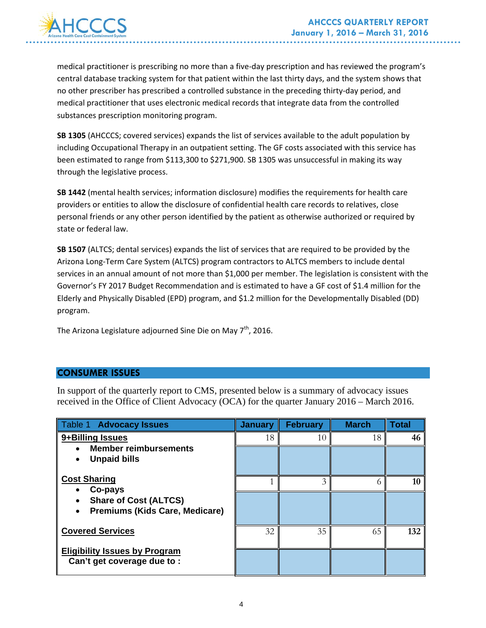

medical practitioner is prescribing no more than a five‐day prescription and has reviewed the program's central database tracking system for that patient within the last thirty days, and the system shows that no other prescriber has prescribed a controlled substance in the preceding thirty-day period, and medical practitioner that uses electronic medical records that integrate data from the controlled substances prescription monitoring program.

**SB 1305** (AHCCCS; covered services) expands the list of services available to the adult population by including Occupational Therapy in an outpatient setting. The GF costs associated with this service has been estimated to range from \$113,300 to \$271,900. SB 1305 was unsuccessful in making its way through the legislative process.

**SB 1442** (mental health services; information disclosure) modifies the requirements for health care providers or entities to allow the disclosure of confidential health care records to relatives, close personal friends or any other person identified by the patient as otherwise authorized or required by state or federal law.

**SB 1507** (ALTCS; dental services) expands the list of services that are required to be provided by the Arizona Long‐Term Care System (ALTCS) program contractors to ALTCS members to include dental services in an annual amount of not more than \$1,000 per member. The legislation is consistent with the Governor's FY 2017 Budget Recommendation and is estimated to have a GF cost of \$1.4 million for the Elderly and Physically Disabled (EPD) program, and \$1.2 million for the Developmentally Disabled (DD) program.

The Arizona Legislature adjourned Sine Die on May  $7<sup>th</sup>$ , 2016.

# **CONSUMER ISSUES**

In support of the quarterly report to CMS, presented below is a summary of advocacy issues received in the Office of Client Advocacy (OCA) for the quarter January 2016 – March 2016.

| Table 1 Advocacy Issues                                                          | <b>January</b> | <b>February</b> | <b>March</b> | <b>Total</b> |
|----------------------------------------------------------------------------------|----------------|-----------------|--------------|--------------|
| 9+Billing Issues                                                                 | 18             | 10              | 18           | 46           |
| <b>Member reimbursements</b><br><b>Unpaid bills</b>                              |                |                 |              |              |
| <b>Cost Sharing</b>                                                              |                | 3               |              | 10           |
| Co-pays<br><b>Share of Cost (ALTCS)</b><br><b>Premiums (Kids Care, Medicare)</b> |                |                 |              |              |
| <b>Covered Services</b>                                                          | 32             | 35              | 65           | 132          |
| <b>Eligibility Issues by Program</b><br>Can't get coverage due to:               |                |                 |              |              |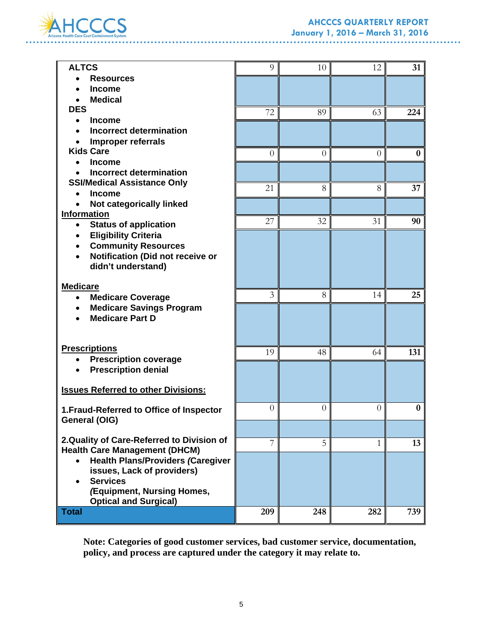

# **AHCCCS QUARTERLY REPORT January 1, 2016 – March 31, 2016**

. . . . . .

| <b>ALTCS</b>                               | 9              | 10             | 12             | 31       |
|--------------------------------------------|----------------|----------------|----------------|----------|
| <b>Resources</b>                           |                |                |                |          |
| <b>Income</b>                              |                |                |                |          |
| <b>Medical</b>                             |                |                |                |          |
| <b>DES</b>                                 | 72             | 89             | 63             | 224      |
| <b>Income</b><br>$\bullet$                 |                |                |                |          |
| <b>Incorrect determination</b>             |                |                |                |          |
| Improper referrals                         |                |                |                |          |
| <b>Kids Care</b>                           | $\overline{0}$ | $\overline{0}$ | $\overline{0}$ | $\bf{0}$ |
| <b>Income</b>                              |                |                |                |          |
| <b>Incorrect determination</b>             |                |                |                |          |
| <b>SSI/Medical Assistance Only</b>         |                |                |                |          |
| <b>Income</b>                              | 21             | 8              | 8              | 37       |
|                                            |                |                |                |          |
| Not categorically linked                   |                |                |                |          |
| <b>Information</b>                         | 27             | 32             | 31             | 90       |
| <b>Status of application</b><br>$\bullet$  |                |                |                |          |
| <b>Eligibility Criteria</b>                |                |                |                |          |
| <b>Community Resources</b>                 |                |                |                |          |
| Notification (Did not receive or           |                |                |                |          |
| didn't understand)                         |                |                |                |          |
|                                            |                |                |                |          |
| <b>Medicare</b>                            |                |                |                |          |
| <b>Medicare Coverage</b><br>$\bullet$      | 3              | 8              | 14             | 25       |
| <b>Medicare Savings Program</b>            |                |                |                |          |
| <b>Medicare Part D</b>                     |                |                |                |          |
|                                            |                |                |                |          |
|                                            |                |                |                |          |
| <b>Prescriptions</b>                       | 19             | 48             | 64             | 131      |
| <b>Prescription coverage</b>               |                |                |                |          |
| <b>Prescription denial</b>                 |                |                |                |          |
|                                            |                |                |                |          |
| <b>Issues Referred to other Divisions:</b> |                |                |                |          |
|                                            |                |                |                |          |
| 1. Fraud-Referred to Office of Inspector   | $\overline{0}$ | $\overline{0}$ | $\theta$       | 0        |
| General (OIG)                              |                |                |                |          |
|                                            |                |                |                |          |
| 2. Quality of Care-Referred to Division of | 7              | 5              | $\mathbf{1}$   | 13       |
| <b>Health Care Management (DHCM)</b>       |                |                |                |          |
| <b>Health Plans/Providers (Caregiver</b>   |                |                |                |          |
| issues, Lack of providers)                 |                |                |                |          |
| <b>Services</b><br>$\bullet$               |                |                |                |          |
| (Equipment, Nursing Homes,                 |                |                |                |          |
| <b>Optical and Surgical)</b>               |                |                |                |          |
| <b>Total</b>                               | 209            | 248            | 282            | 739      |
|                                            |                |                |                |          |

**Note: Categories of good customer services, bad customer service, documentation, policy, and process are captured under the category it may relate to.**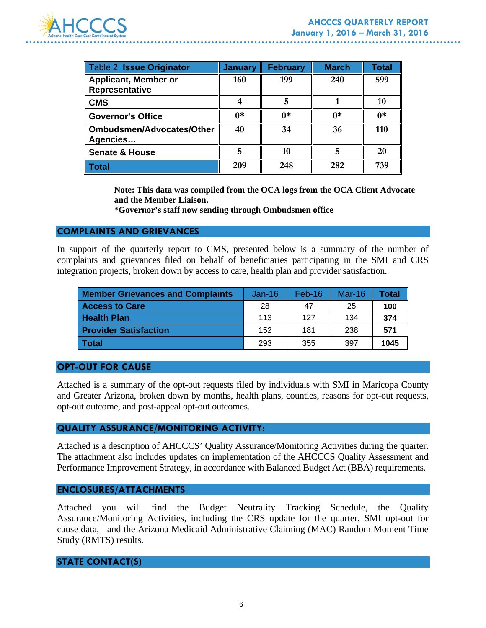

| <b>Table 2 Issue Originator</b>               | January | <b>February</b> | <b>March</b> | Total |
|-----------------------------------------------|---------|-----------------|--------------|-------|
| <b>Applicant, Member or</b><br>Representative | 160     | 199             | 240          | 599   |
| <b>CMS</b>                                    |         |                 |              | 10    |
| <b>Governor's Office</b>                      | $0*$    | $0*$            | ∩*           | ∩*    |
| <b>Ombudsmen/Advocates/Other</b><br>Agencies  | 40      | 34              | 36           | 110   |
| <b>Senate &amp; House</b>                     |         | 10              |              | 20    |
| Total                                         | 209     | 248             | 282          | 739   |

**Note: This data was compiled from the OCA logs from the OCA Client Advocate and the Member Liaison.** 

**\*Governor's staff now sending through Ombudsmen office** 

### **COMPLAINTS AND GRIEVANCES**

In support of the quarterly report to CMS, presented below is a summary of the number of complaints and grievances filed on behalf of beneficiaries participating in the SMI and CRS integration projects, broken down by access to care, health plan and provider satisfaction.

| <b>Member Grievances and Complaints</b> | $Jan-16$ | $Feb-16$ | $Mar-16$ | Total |
|-----------------------------------------|----------|----------|----------|-------|
| <b>Access to Care</b>                   | 28       | 47       | 25       | 100   |
| <b>Health Plan</b>                      | 113      | 127      | 134      | 374   |
| <b>Provider Satisfaction</b>            | 152      | 181      | 238      | 571   |
| <b>Total</b>                            | 293      | 355      | 397      | 1045  |

### **OPT-OUT FOR CAUSE**

Attached is a summary of the opt-out requests filed by individuals with SMI in Maricopa County and Greater Arizona, broken down by months, health plans, counties, reasons for opt-out requests, opt-out outcome, and post-appeal opt-out outcomes.

# **QUALITY ASSURANCE/MONITORING ACTIVITY:**

Attached is a description of AHCCCS' Quality Assurance/Monitoring Activities during the quarter. The attachment also includes updates on implementation of the AHCCCS Quality Assessment and Performance Improvement Strategy, in accordance with Balanced Budget Act (BBA) requirements.

### **ENCLOSURES/ATTACHMENTS**

Attached you will find the Budget Neutrality Tracking Schedule, the Quality Assurance/Monitoring Activities, including the CRS update for the quarter, SMI opt-out for cause data, and the Arizona Medicaid Administrative Claiming (MAC) Random Moment Time Study (RMTS) results.

## **STATE CONTACT(S)**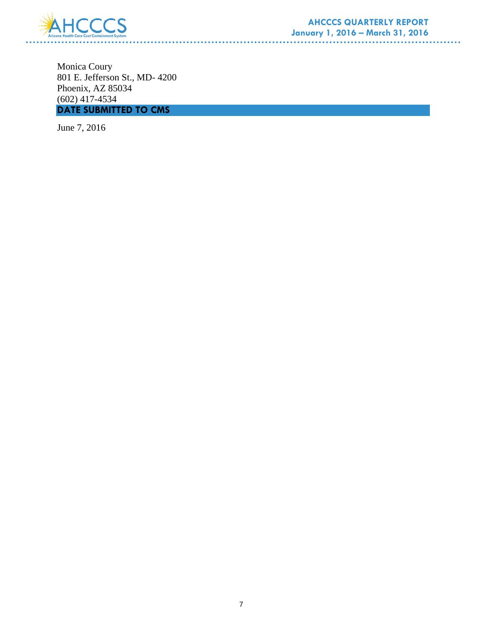

Monica Coury 801 E. Jefferson St., MD- 4200 Phoenix, AZ 85034 (602) 417-4534 **DATE SUBMITTED TO CMS** 

June 7, 2016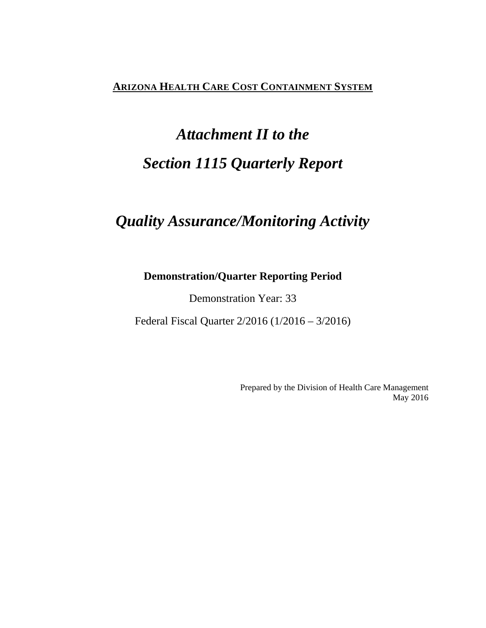# **ARIZONA HEALTH CARE COST CONTAINMENT SYSTEM**

# *Attachment II to the Section 1115 Quarterly Report*

# *Quality Assurance/Monitoring Activity*

# **Demonstration/Quarter Reporting Period**

Demonstration Year: 33

Federal Fiscal Quarter 2/2016 (1/2016 – 3/2016)

Prepared by the Division of Health Care Management May 2016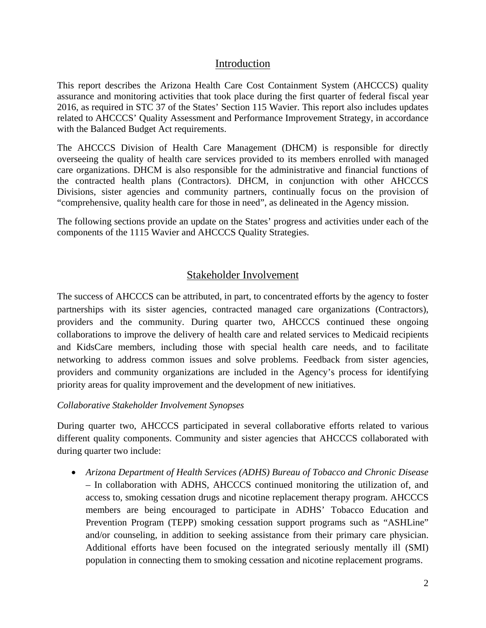# Introduction

This report describes the Arizona Health Care Cost Containment System (AHCCCS) quality assurance and monitoring activities that took place during the first quarter of federal fiscal year 2016, as required in STC 37 of the States' Section 115 Wavier. This report also includes updates related to AHCCCS' Quality Assessment and Performance Improvement Strategy, in accordance with the Balanced Budget Act requirements.

The AHCCCS Division of Health Care Management (DHCM) is responsible for directly overseeing the quality of health care services provided to its members enrolled with managed care organizations. DHCM is also responsible for the administrative and financial functions of the contracted health plans (Contractors). DHCM, in conjunction with other AHCCCS Divisions, sister agencies and community partners, continually focus on the provision of "comprehensive, quality health care for those in need", as delineated in the Agency mission.

The following sections provide an update on the States' progress and activities under each of the components of the 1115 Wavier and AHCCCS Quality Strategies.

# Stakeholder Involvement

The success of AHCCCS can be attributed, in part, to concentrated efforts by the agency to foster partnerships with its sister agencies, contracted managed care organizations (Contractors), providers and the community. During quarter two, AHCCCS continued these ongoing collaborations to improve the delivery of health care and related services to Medicaid recipients and KidsCare members, including those with special health care needs, and to facilitate networking to address common issues and solve problems. Feedback from sister agencies, providers and community organizations are included in the Agency's process for identifying priority areas for quality improvement and the development of new initiatives.

# *Collaborative Stakeholder Involvement Synopses*

During quarter two, AHCCCS participated in several collaborative efforts related to various different quality components. Community and sister agencies that AHCCCS collaborated with during quarter two include:

• *Arizona Department of Health Services (ADHS) Bureau of Tobacco and Chronic Disease* – In collaboration with ADHS, AHCCCS continued monitoring the utilization of, and access to, smoking cessation drugs and nicotine replacement therapy program. AHCCCS members are being encouraged to participate in ADHS' Tobacco Education and Prevention Program (TEPP) smoking cessation support programs such as "ASHLine" and/or counseling, in addition to seeking assistance from their primary care physician. Additional efforts have been focused on the integrated seriously mentally ill (SMI) population in connecting them to smoking cessation and nicotine replacement programs.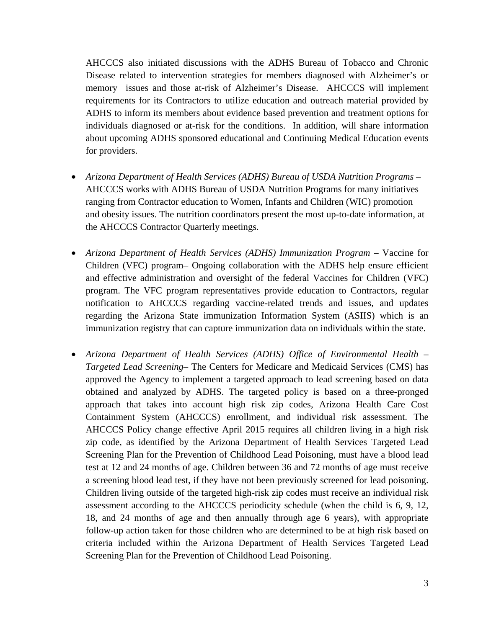AHCCCS also initiated discussions with the ADHS Bureau of Tobacco and Chronic Disease related to intervention strategies for members diagnosed with Alzheimer's or memory issues and those at-risk of Alzheimer's Disease. AHCCCS will implement requirements for its Contractors to utilize education and outreach material provided by ADHS to inform its members about evidence based prevention and treatment options for individuals diagnosed or at-risk for the conditions. In addition, will share information about upcoming ADHS sponsored educational and Continuing Medical Education events for providers.

- *Arizona Department of Health Services (ADHS) Bureau of USDA Nutrition Programs*  AHCCCS works with ADHS Bureau of USDA Nutrition Programs for many initiatives ranging from Contractor education to Women, Infants and Children (WIC) promotion and obesity issues. The nutrition coordinators present the most up-to-date information, at the AHCCCS Contractor Quarterly meetings.
- *Arizona Department of Health Services (ADHS) Immunization Program* Vaccine for Children (VFC) program– Ongoing collaboration with the ADHS help ensure efficient and effective administration and oversight of the federal Vaccines for Children (VFC) program. The VFC program representatives provide education to Contractors, regular notification to AHCCCS regarding vaccine-related trends and issues, and updates regarding the Arizona State immunization Information System (ASIIS) which is an immunization registry that can capture immunization data on individuals within the state.
- *Arizona Department of Health Services (ADHS) Office of Environmental Health Targeted Lead Screening*– The Centers for Medicare and Medicaid Services (CMS) has approved the Agency to implement a targeted approach to lead screening based on data obtained and analyzed by ADHS. The targeted policy is based on a three-pronged approach that takes into account high risk zip codes, Arizona Health Care Cost Containment System (AHCCCS) enrollment, and individual risk assessment. The AHCCCS Policy change effective April 2015 requires all children living in a high risk zip code, as identified by the Arizona Department of Health Services Targeted Lead Screening Plan for the Prevention of Childhood Lead Poisoning, must have a blood lead test at 12 and 24 months of age. Children between 36 and 72 months of age must receive a screening blood lead test, if they have not been previously screened for lead poisoning. Children living outside of the targeted high-risk zip codes must receive an individual risk assessment according to the AHCCCS periodicity schedule (when the child is 6, 9, 12, 18, and 24 months of age and then annually through age 6 years), with appropriate follow-up action taken for those children who are determined to be at high risk based on criteria included within the Arizona Department of Health Services Targeted Lead Screening Plan for the Prevention of Childhood Lead Poisoning.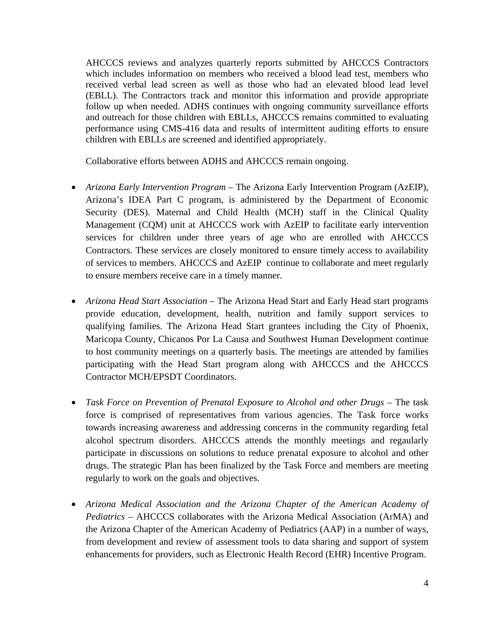AHCCCS reviews and analyzes quarterly reports submitted by AHCCCS Contractors which includes information on members who received a blood lead test, members who received verbal lead screen as well as those who had an elevated blood lead level (EBLL). The Contractors track and monitor this information and provide appropriate follow up when needed. ADHS continues with ongoing community surveillance efforts and outreach for those children with EBLLs, AHCCCS remains committed to evaluating performance using CMS-416 data and results of intermittent auditing efforts to ensure children with EBLLs are screened and identified appropriately.

Collaborative efforts between ADHS and AHCCCS remain ongoing.

- *Arizona Early Intervention Program* The Arizona Early Intervention Program (AzEIP), Arizona's IDEA Part C program, is administered by the Department of Economic Security (DES). Maternal and Child Health (MCH) staff in the Clinical Quality Management (CQM) unit at AHCCCS work with AzEIP to facilitate early intervention services for children under three years of age who are enrolled with AHCCCS Contractors. These services are closely monitored to ensure timely access to availability of services to members. AHCCCS and AzEIP continue to collaborate and meet regularly to ensure members receive care in a timely manner.
- *Arizona Head Start Association* The Arizona Head Start and Early Head start programs provide education, development, health, nutrition and family support services to qualifying families. The Arizona Head Start grantees including the City of Phoenix, Maricopa County, Chicanos Por La Causa and Southwest Human Development continue to host community meetings on a quarterly basis. The meetings are attended by families participating with the Head Start program along with AHCCCS and the AHCCCS Contractor MCH/EPSDT Coordinators.
- *Task Force on Prevention of Prenatal Exposure to Alcohol and other Drugs* The task force is comprised of representatives from various agencies. The Task force works towards increasing awareness and addressing concerns in the community regarding fetal alcohol spectrum disorders. AHCCCS attends the monthly meetings and regaularly participate in discussions on solutions to reduce prenatal exposure to alcohol and other drugs. The strategic Plan has been finalized by the Task Force and members are meeting regularly to work on the goals and objectives.
- *Arizona Medical Association and the Arizona Chapter of the American Academy of Pediatrics* – AHCCCS collaborates with the Arizona Medical Association (ArMA) and the Arizona Chapter of the American Academy of Pediatrics (AAP) in a number of ways, from development and review of assessment tools to data sharing and support of system enhancements for providers, such as Electronic Health Record (EHR) Incentive Program.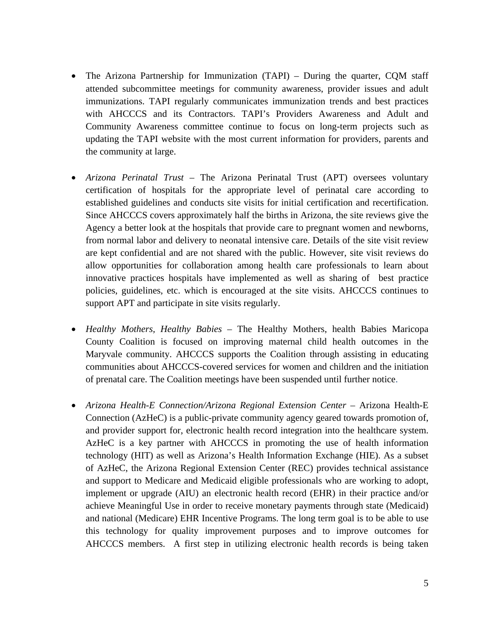- The Arizona Partnership for Immunization (TAPI) During the quarter, CQM staff attended subcommittee meetings for community awareness, provider issues and adult immunizations. TAPI regularly communicates immunization trends and best practices with AHCCCS and its Contractors. TAPI's Providers Awareness and Adult and Community Awareness committee continue to focus on long-term projects such as updating the TAPI website with the most current information for providers, parents and the community at large.
- *Arizona Perinatal Trust* The Arizona Perinatal Trust (APT) oversees voluntary certification of hospitals for the appropriate level of perinatal care according to established guidelines and conducts site visits for initial certification and recertification. Since AHCCCS covers approximately half the births in Arizona, the site reviews give the Agency a better look at the hospitals that provide care to pregnant women and newborns, from normal labor and delivery to neonatal intensive care. Details of the site visit review are kept confidential and are not shared with the public. However, site visit reviews do allow opportunities for collaboration among health care professionals to learn about innovative practices hospitals have implemented as well as sharing of best practice policies, guidelines, etc. which is encouraged at the site visits. AHCCCS continues to support APT and participate in site visits regularly.
- *Healthy Mothers, Healthy Babies* The Healthy Mothers, health Babies Maricopa County Coalition is focused on improving maternal child health outcomes in the Maryvale community. AHCCCS supports the Coalition through assisting in educating communities about AHCCCS-covered services for women and children and the initiation of prenatal care. The Coalition meetings have been suspended until further notice.
- *Arizona Health-E Connection/Arizona Regional Extension Center* Arizona Health-E Connection (AzHeC) is a public-private community agency geared towards promotion of, and provider support for, electronic health record integration into the healthcare system. AzHeC is a key partner with AHCCCS in promoting the use of health information technology (HIT) as well as Arizona's Health Information Exchange (HIE). As a subset of AzHeC, the Arizona Regional Extension Center (REC) provides technical assistance and support to Medicare and Medicaid eligible professionals who are working to adopt, implement or upgrade (AIU) an electronic health record (EHR) in their practice and/or achieve Meaningful Use in order to receive monetary payments through state (Medicaid) and national (Medicare) EHR Incentive Programs. The long term goal is to be able to use this technology for quality improvement purposes and to improve outcomes for AHCCCS members. A first step in utilizing electronic health records is being taken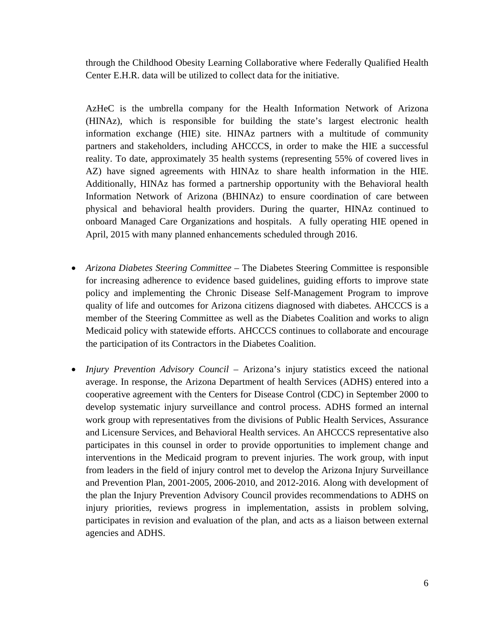through the Childhood Obesity Learning Collaborative where Federally Qualified Health Center E.H.R. data will be utilized to collect data for the initiative.

AzHeC is the umbrella company for the Health Information Network of Arizona (HINAz), which is responsible for building the state's largest electronic health information exchange (HIE) site. HINAz partners with a multitude of community partners and stakeholders, including AHCCCS, in order to make the HIE a successful reality. To date, approximately 35 health systems (representing 55% of covered lives in AZ) have signed agreements with HINAz to share health information in the HIE. Additionally, HINAz has formed a partnership opportunity with the Behavioral health Information Network of Arizona (BHINAz) to ensure coordination of care between physical and behavioral health providers. During the quarter, HINAz continued to onboard Managed Care Organizations and hospitals. A fully operating HIE opened in April, 2015 with many planned enhancements scheduled through 2016.

- *Arizona Diabetes Steering Committee* The Diabetes Steering Committee is responsible for increasing adherence to evidence based guidelines, guiding efforts to improve state policy and implementing the Chronic Disease Self-Management Program to improve quality of life and outcomes for Arizona citizens diagnosed with diabetes. AHCCCS is a member of the Steering Committee as well as the Diabetes Coalition and works to align Medicaid policy with statewide efforts. AHCCCS continues to collaborate and encourage the participation of its Contractors in the Diabetes Coalition.
- *Injury Prevention Advisory Council* Arizona's injury statistics exceed the national average. In response, the Arizona Department of health Services (ADHS) entered into a cooperative agreement with the Centers for Disease Control (CDC) in September 2000 to develop systematic injury surveillance and control process. ADHS formed an internal work group with representatives from the divisions of Public Health Services, Assurance and Licensure Services, and Behavioral Health services. An AHCCCS representative also participates in this counsel in order to provide opportunities to implement change and interventions in the Medicaid program to prevent injuries. The work group, with input from leaders in the field of injury control met to develop the Arizona Injury Surveillance and Prevention Plan, 2001-2005, 2006-2010, and 2012-2016. Along with development of the plan the Injury Prevention Advisory Council provides recommendations to ADHS on injury priorities, reviews progress in implementation, assists in problem solving, participates in revision and evaluation of the plan, and acts as a liaison between external agencies and ADHS.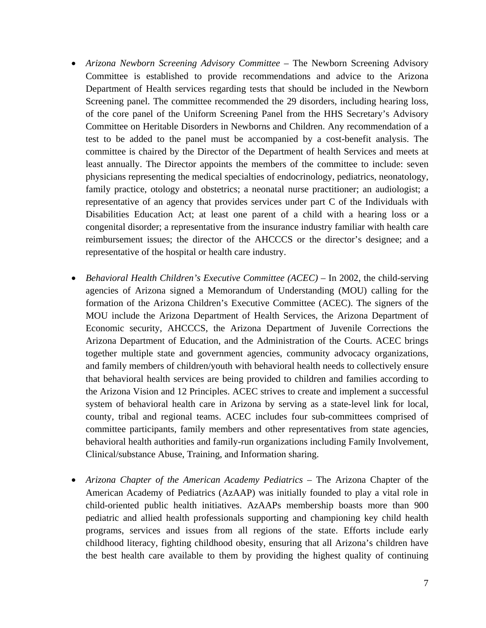- *Arizona Newborn Screening Advisory Committee*  The Newborn Screening Advisory Committee is established to provide recommendations and advice to the Arizona Department of Health services regarding tests that should be included in the Newborn Screening panel. The committee recommended the 29 disorders, including hearing loss, of the core panel of the Uniform Screening Panel from the HHS Secretary's Advisory Committee on Heritable Disorders in Newborns and Children. Any recommendation of a test to be added to the panel must be accompanied by a cost-benefit analysis. The committee is chaired by the Director of the Department of health Services and meets at least annually. The Director appoints the members of the committee to include: seven physicians representing the medical specialties of endocrinology, pediatrics, neonatology, family practice, otology and obstetrics; a neonatal nurse practitioner; an audiologist; a representative of an agency that provides services under part C of the Individuals with Disabilities Education Act; at least one parent of a child with a hearing loss or a congenital disorder; a representative from the insurance industry familiar with health care reimbursement issues; the director of the AHCCCS or the director's designee; and a representative of the hospital or health care industry.
- *Behavioral Health Children's Executive Committee (ACEC)* In 2002, the child-serving agencies of Arizona signed a Memorandum of Understanding (MOU) calling for the formation of the Arizona Children's Executive Committee (ACEC). The signers of the MOU include the Arizona Department of Health Services, the Arizona Department of Economic security, AHCCCS, the Arizona Department of Juvenile Corrections the Arizona Department of Education, and the Administration of the Courts. ACEC brings together multiple state and government agencies, community advocacy organizations, and family members of children/youth with behavioral health needs to collectively ensure that behavioral health services are being provided to children and families according to the Arizona Vision and 12 Principles. ACEC strives to create and implement a successful system of behavioral health care in Arizona by serving as a state-level link for local, county, tribal and regional teams. ACEC includes four sub-committees comprised of committee participants, family members and other representatives from state agencies, behavioral health authorities and family-run organizations including Family Involvement, Clinical/substance Abuse, Training, and Information sharing.
- *Arizona Chapter of the American Academy Pediatrics* The Arizona Chapter of the American Academy of Pediatrics (AzAAP) was initially founded to play a vital role in child-oriented public health initiatives. AzAAPs membership boasts more than 900 pediatric and allied health professionals supporting and championing key child health programs, services and issues from all regions of the state. Efforts include early childhood literacy, fighting childhood obesity, ensuring that all Arizona's children have the best health care available to them by providing the highest quality of continuing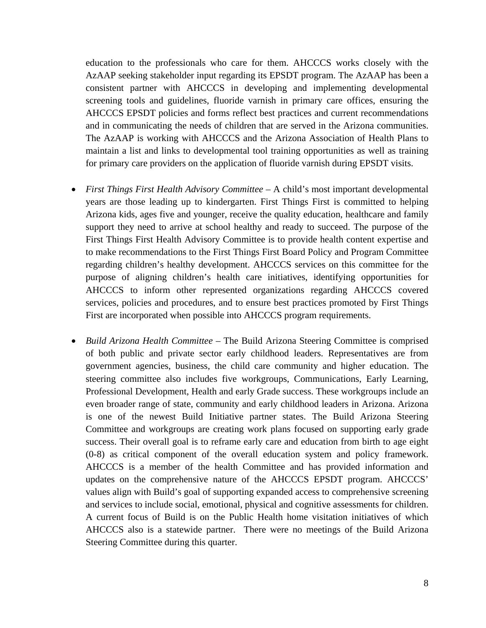education to the professionals who care for them. AHCCCS works closely with the AzAAP seeking stakeholder input regarding its EPSDT program. The AzAAP has been a consistent partner with AHCCCS in developing and implementing developmental screening tools and guidelines, fluoride varnish in primary care offices, ensuring the AHCCCS EPSDT policies and forms reflect best practices and current recommendations and in communicating the needs of children that are served in the Arizona communities. The AzAAP is working with AHCCCS and the Arizona Association of Health Plans to maintain a list and links to developmental tool training opportunities as well as training for primary care providers on the application of fluoride varnish during EPSDT visits.

- *First Things First Health Advisory Committee* A child's most important developmental years are those leading up to kindergarten. First Things First is committed to helping Arizona kids, ages five and younger, receive the quality education, healthcare and family support they need to arrive at school healthy and ready to succeed. The purpose of the First Things First Health Advisory Committee is to provide health content expertise and to make recommendations to the First Things First Board Policy and Program Committee regarding children's healthy development. AHCCCS services on this committee for the purpose of aligning children's health care initiatives, identifying opportunities for AHCCCS to inform other represented organizations regarding AHCCCS covered services, policies and procedures, and to ensure best practices promoted by First Things First are incorporated when possible into AHCCCS program requirements.
- *Build Arizona Health Committee* The Build Arizona Steering Committee is comprised of both public and private sector early childhood leaders. Representatives are from government agencies, business, the child care community and higher education. The steering committee also includes five workgroups, Communications, Early Learning, Professional Development, Health and early Grade success. These workgroups include an even broader range of state, community and early childhood leaders in Arizona. Arizona is one of the newest Build Initiative partner states. The Build Arizona Steering Committee and workgroups are creating work plans focused on supporting early grade success. Their overall goal is to reframe early care and education from birth to age eight (0-8) as critical component of the overall education system and policy framework. AHCCCS is a member of the health Committee and has provided information and updates on the comprehensive nature of the AHCCCS EPSDT program. AHCCCS' values align with Build's goal of supporting expanded access to comprehensive screening and services to include social, emotional, physical and cognitive assessments for children. A current focus of Build is on the Public Health home visitation initiatives of which AHCCCS also is a statewide partner. There were no meetings of the Build Arizona Steering Committee during this quarter.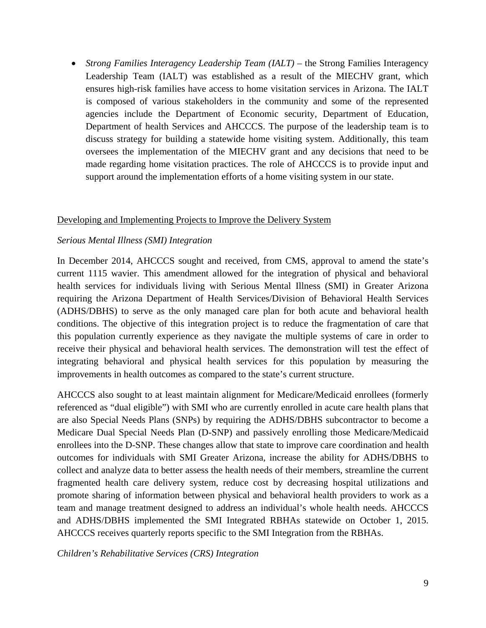• *Strong Families Interagency Leadership Team (IALT)* – the Strong Families Interagency Leadership Team (IALT) was established as a result of the MIECHV grant, which ensures high-risk families have access to home visitation services in Arizona. The IALT is composed of various stakeholders in the community and some of the represented agencies include the Department of Economic security, Department of Education, Department of health Services and AHCCCS. The purpose of the leadership team is to discuss strategy for building a statewide home visiting system. Additionally, this team oversees the implementation of the MIECHV grant and any decisions that need to be made regarding home visitation practices. The role of AHCCCS is to provide input and support around the implementation efforts of a home visiting system in our state.

## Developing and Implementing Projects to Improve the Delivery System

## *Serious Mental Illness (SMI) Integration*

In December 2014, AHCCCS sought and received, from CMS, approval to amend the state's current 1115 wavier. This amendment allowed for the integration of physical and behavioral health services for individuals living with Serious Mental Illness (SMI) in Greater Arizona requiring the Arizona Department of Health Services/Division of Behavioral Health Services (ADHS/DBHS) to serve as the only managed care plan for both acute and behavioral health conditions. The objective of this integration project is to reduce the fragmentation of care that this population currently experience as they navigate the multiple systems of care in order to receive their physical and behavioral health services. The demonstration will test the effect of integrating behavioral and physical health services for this population by measuring the improvements in health outcomes as compared to the state's current structure.

AHCCCS also sought to at least maintain alignment for Medicare/Medicaid enrollees (formerly referenced as "dual eligible") with SMI who are currently enrolled in acute care health plans that are also Special Needs Plans (SNPs) by requiring the ADHS/DBHS subcontractor to become a Medicare Dual Special Needs Plan (D-SNP) and passively enrolling those Medicare/Medicaid enrollees into the D-SNP. These changes allow that state to improve care coordination and health outcomes for individuals with SMI Greater Arizona, increase the ability for ADHS/DBHS to collect and analyze data to better assess the health needs of their members, streamline the current fragmented health care delivery system, reduce cost by decreasing hospital utilizations and promote sharing of information between physical and behavioral health providers to work as a team and manage treatment designed to address an individual's whole health needs. AHCCCS and ADHS/DBHS implemented the SMI Integrated RBHAs statewide on October 1, 2015. AHCCCS receives quarterly reports specific to the SMI Integration from the RBHAs.

*Children's Rehabilitative Services (CRS) Integration*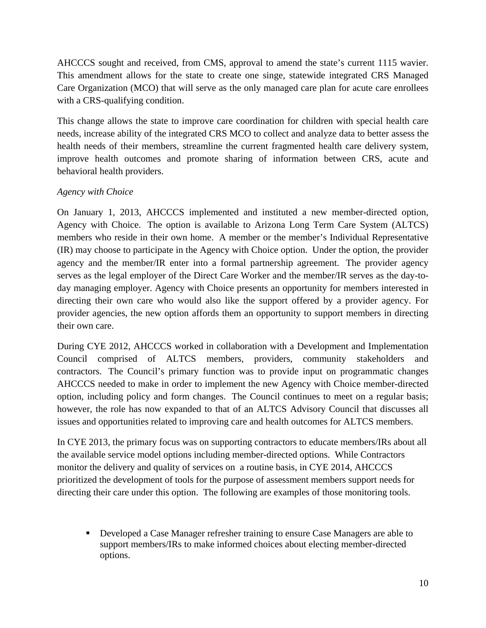AHCCCS sought and received, from CMS, approval to amend the state's current 1115 wavier. This amendment allows for the state to create one singe, statewide integrated CRS Managed Care Organization (MCO) that will serve as the only managed care plan for acute care enrollees with a CRS-qualifying condition.

This change allows the state to improve care coordination for children with special health care needs, increase ability of the integrated CRS MCO to collect and analyze data to better assess the health needs of their members, streamline the current fragmented health care delivery system, improve health outcomes and promote sharing of information between CRS, acute and behavioral health providers.

# *Agency with Choice*

On January 1, 2013, AHCCCS implemented and instituted a new member-directed option, Agency with Choice. The option is available to Arizona Long Term Care System (ALTCS) members who reside in their own home. A member or the member's Individual Representative (IR) may choose to participate in the Agency with Choice option. Under the option, the provider agency and the member/IR enter into a formal partnership agreement. The provider agency serves as the legal employer of the Direct Care Worker and the member/IR serves as the day-today managing employer. Agency with Choice presents an opportunity for members interested in directing their own care who would also like the support offered by a provider agency. For provider agencies, the new option affords them an opportunity to support members in directing their own care.

During CYE 2012, AHCCCS worked in collaboration with a Development and Implementation Council comprised of ALTCS members, providers, community stakeholders and contractors. The Council's primary function was to provide input on programmatic changes AHCCCS needed to make in order to implement the new Agency with Choice member-directed option, including policy and form changes. The Council continues to meet on a regular basis; however, the role has now expanded to that of an ALTCS Advisory Council that discusses all issues and opportunities related to improving care and health outcomes for ALTCS members.

In CYE 2013, the primary focus was on supporting contractors to educate members/IRs about all the available service model options including member-directed options. While Contractors monitor the delivery and quality of services on a routine basis, in CYE 2014, AHCCCS prioritized the development of tools for the purpose of assessment members support needs for directing their care under this option. The following are examples of those monitoring tools.

 Developed a Case Manager refresher training to ensure Case Managers are able to support members/IRs to make informed choices about electing member-directed options.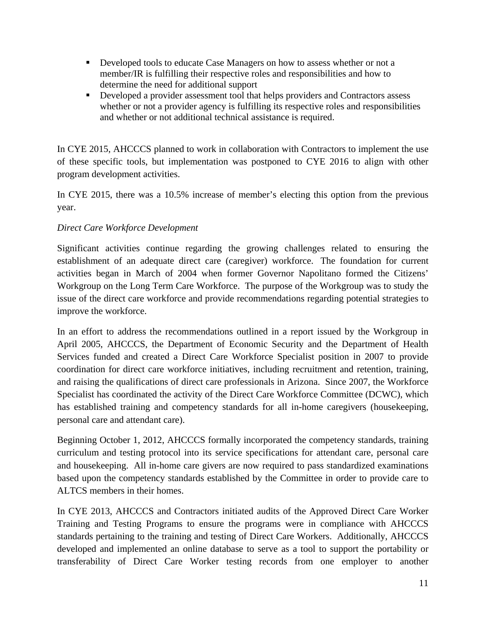- Developed tools to educate Case Managers on how to assess whether or not a member/IR is fulfilling their respective roles and responsibilities and how to determine the need for additional support
- Developed a provider assessment tool that helps providers and Contractors assess whether or not a provider agency is fulfilling its respective roles and responsibilities and whether or not additional technical assistance is required.

In CYE 2015, AHCCCS planned to work in collaboration with Contractors to implement the use of these specific tools, but implementation was postponed to CYE 2016 to align with other program development activities.

In CYE 2015, there was a 10.5% increase of member's electing this option from the previous year.

# *Direct Care Workforce Development*

Significant activities continue regarding the growing challenges related to ensuring the establishment of an adequate direct care (caregiver) workforce. The foundation for current activities began in March of 2004 when former Governor Napolitano formed the Citizens' Workgroup on the Long Term Care Workforce. The purpose of the Workgroup was to study the issue of the direct care workforce and provide recommendations regarding potential strategies to improve the workforce.

In an effort to address the recommendations outlined in a report issued by the Workgroup in April 2005, AHCCCS, the Department of Economic Security and the Department of Health Services funded and created a Direct Care Workforce Specialist position in 2007 to provide coordination for direct care workforce initiatives, including recruitment and retention, training, and raising the qualifications of direct care professionals in Arizona. Since 2007, the Workforce Specialist has coordinated the activity of the Direct Care Workforce Committee (DCWC), which has established training and competency standards for all in-home caregivers (housekeeping, personal care and attendant care).

Beginning October 1, 2012, AHCCCS formally incorporated the competency standards, training curriculum and testing protocol into its service specifications for attendant care, personal care and housekeeping. All in-home care givers are now required to pass standardized examinations based upon the competency standards established by the Committee in order to provide care to ALTCS members in their homes.

In CYE 2013, AHCCCS and Contractors initiated audits of the Approved Direct Care Worker Training and Testing Programs to ensure the programs were in compliance with AHCCCS standards pertaining to the training and testing of Direct Care Workers. Additionally, AHCCCS developed and implemented an online database to serve as a tool to support the portability or transferability of Direct Care Worker testing records from one employer to another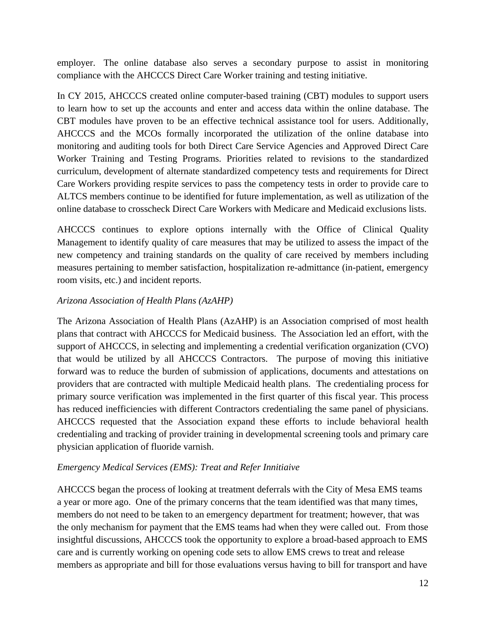employer. The online database also serves a secondary purpose to assist in monitoring compliance with the AHCCCS Direct Care Worker training and testing initiative.

In CY 2015, AHCCCS created online computer-based training (CBT) modules to support users to learn how to set up the accounts and enter and access data within the online database. The CBT modules have proven to be an effective technical assistance tool for users. Additionally, AHCCCS and the MCOs formally incorporated the utilization of the online database into monitoring and auditing tools for both Direct Care Service Agencies and Approved Direct Care Worker Training and Testing Programs. Priorities related to revisions to the standardized curriculum, development of alternate standardized competency tests and requirements for Direct Care Workers providing respite services to pass the competency tests in order to provide care to ALTCS members continue to be identified for future implementation, as well as utilization of the online database to crosscheck Direct Care Workers with Medicare and Medicaid exclusions lists.

AHCCCS continues to explore options internally with the Office of Clinical Quality Management to identify quality of care measures that may be utilized to assess the impact of the new competency and training standards on the quality of care received by members including measures pertaining to member satisfaction, hospitalization re-admittance (in-patient, emergency room visits, etc.) and incident reports.

# *Arizona Association of Health Plans (AzAHP)*

The Arizona Association of Health Plans (AzAHP) is an Association comprised of most health plans that contract with AHCCCS for Medicaid business. The Association led an effort, with the support of AHCCCS, in selecting and implementing a credential verification organization (CVO) that would be utilized by all AHCCCS Contractors. The purpose of moving this initiative forward was to reduce the burden of submission of applications, documents and attestations on providers that are contracted with multiple Medicaid health plans. The credentialing process for primary source verification was implemented in the first quarter of this fiscal year. This process has reduced inefficiencies with different Contractors credentialing the same panel of physicians. AHCCCS requested that the Association expand these efforts to include behavioral health credentialing and tracking of provider training in developmental screening tools and primary care physician application of fluoride varnish.

# *Emergency Medical Services (EMS): Treat and Refer Innitiaive*

AHCCCS began the process of looking at treatment deferrals with the City of Mesa EMS teams a year or more ago. One of the primary concerns that the team identified was that many times, members do not need to be taken to an emergency department for treatment; however, that was the only mechanism for payment that the EMS teams had when they were called out. From those insightful discussions, AHCCCS took the opportunity to explore a broad-based approach to EMS care and is currently working on opening code sets to allow EMS crews to treat and release members as appropriate and bill for those evaluations versus having to bill for transport and have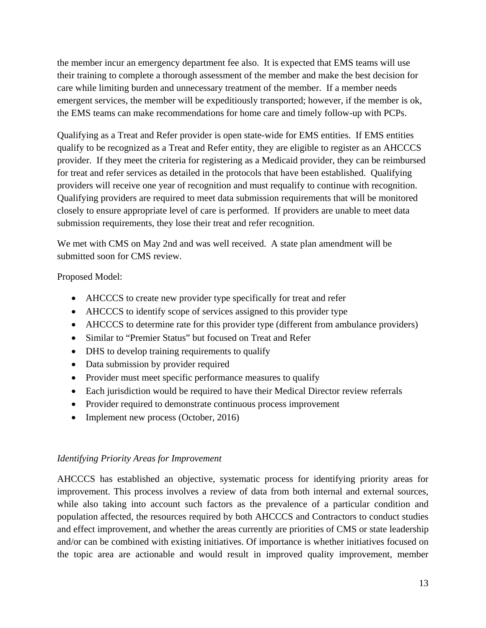the member incur an emergency department fee also. It is expected that EMS teams will use their training to complete a thorough assessment of the member and make the best decision for care while limiting burden and unnecessary treatment of the member. If a member needs emergent services, the member will be expeditiously transported; however, if the member is ok, the EMS teams can make recommendations for home care and timely follow-up with PCPs.

Qualifying as a Treat and Refer provider is open state-wide for EMS entities. If EMS entities qualify to be recognized as a Treat and Refer entity, they are eligible to register as an AHCCCS provider. If they meet the criteria for registering as a Medicaid provider, they can be reimbursed for treat and refer services as detailed in the protocols that have been established. Qualifying providers will receive one year of recognition and must requalify to continue with recognition. Qualifying providers are required to meet data submission requirements that will be monitored closely to ensure appropriate level of care is performed. If providers are unable to meet data submission requirements, they lose their treat and refer recognition.

We met with CMS on May 2nd and was well received. A state plan amendment will be submitted soon for CMS review.

Proposed Model:

- AHCCCS to create new provider type specifically for treat and refer
- AHCCCS to identify scope of services assigned to this provider type
- AHCCCS to determine rate for this provider type (different from ambulance providers)
- Similar to "Premier Status" but focused on Treat and Refer
- DHS to develop training requirements to qualify
- Data submission by provider required
- Provider must meet specific performance measures to qualify
- Each jurisdiction would be required to have their Medical Director review referrals
- Provider required to demonstrate continuous process improvement
- Implement new process (October, 2016)

# *Identifying Priority Areas for Improvement*

AHCCCS has established an objective, systematic process for identifying priority areas for improvement. This process involves a review of data from both internal and external sources, while also taking into account such factors as the prevalence of a particular condition and population affected, the resources required by both AHCCCS and Contractors to conduct studies and effect improvement, and whether the areas currently are priorities of CMS or state leadership and/or can be combined with existing initiatives. Of importance is whether initiatives focused on the topic area are actionable and would result in improved quality improvement, member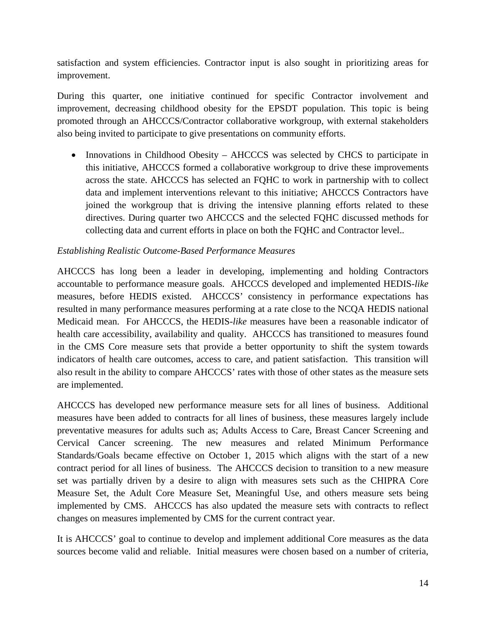satisfaction and system efficiencies. Contractor input is also sought in prioritizing areas for improvement.

During this quarter, one initiative continued for specific Contractor involvement and improvement, decreasing childhood obesity for the EPSDT population. This topic is being promoted through an AHCCCS/Contractor collaborative workgroup, with external stakeholders also being invited to participate to give presentations on community efforts.

• Innovations in Childhood Obesity – AHCCCS was selected by CHCS to participate in this initiative, AHCCCS formed a collaborative workgroup to drive these improvements across the state. AHCCCS has selected an FQHC to work in partnership with to collect data and implement interventions relevant to this initiative; AHCCCS Contractors have joined the workgroup that is driving the intensive planning efforts related to these directives. During quarter two AHCCCS and the selected FQHC discussed methods for collecting data and current efforts in place on both the FQHC and Contractor level..

# *Establishing Realistic Outcome-Based Performance Measures*

AHCCCS has long been a leader in developing, implementing and holding Contractors accountable to performance measure goals. AHCCCS developed and implemented HEDIS-*like* measures, before HEDIS existed. AHCCCS' consistency in performance expectations has resulted in many performance measures performing at a rate close to the NCQA HEDIS national Medicaid mean. For AHCCCS, the HEDIS-*like* measures have been a reasonable indicator of health care accessibility, availability and quality. AHCCCS has transitioned to measures found in the CMS Core measure sets that provide a better opportunity to shift the system towards indicators of health care outcomes, access to care, and patient satisfaction. This transition will also result in the ability to compare AHCCCS' rates with those of other states as the measure sets are implemented.

AHCCCS has developed new performance measure sets for all lines of business. Additional measures have been added to contracts for all lines of business, these measures largely include preventative measures for adults such as; Adults Access to Care, Breast Cancer Screening and Cervical Cancer screening. The new measures and related Minimum Performance Standards/Goals became effective on October 1, 2015 which aligns with the start of a new contract period for all lines of business. The AHCCCS decision to transition to a new measure set was partially driven by a desire to align with measures sets such as the CHIPRA Core Measure Set, the Adult Core Measure Set, Meaningful Use, and others measure sets being implemented by CMS. AHCCCS has also updated the measure sets with contracts to reflect changes on measures implemented by CMS for the current contract year.

It is AHCCCS' goal to continue to develop and implement additional Core measures as the data sources become valid and reliable. Initial measures were chosen based on a number of criteria,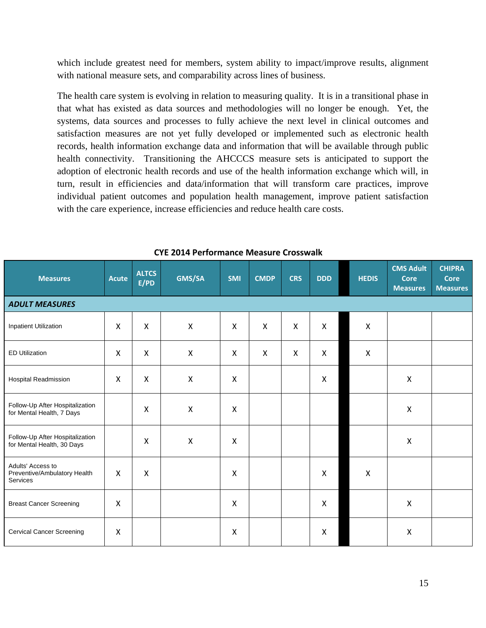which include greatest need for members, system ability to impact/improve results, alignment with national measure sets, and comparability across lines of business.

The health care system is evolving in relation to measuring quality. It is in a transitional phase in that what has existed as data sources and methodologies will no longer be enough. Yet, the systems, data sources and processes to fully achieve the next level in clinical outcomes and satisfaction measures are not yet fully developed or implemented such as electronic health records, health information exchange data and information that will be available through public health connectivity. Transitioning the AHCCCS measure sets is anticipated to support the adoption of electronic health records and use of the health information exchange which will, in turn, result in efficiencies and data/information that will transform care practices, improve individual patient outcomes and population health management, improve patient satisfaction with the care experience, increase efficiencies and reduce health care costs.

| <b>Measures</b>                                                      | <b>Acute</b> | <b>ALTCS</b><br>E/PD      | GMS/SA                    | <b>SMI</b>                | <b>CMDP</b>               | <b>CRS</b>                | <b>DDD</b>   | <b>HEDIS</b>              | <b>CMS Adult</b><br><b>Core</b><br><b>Measures</b> | <b>CHIPRA</b><br><b>Core</b><br><b>Measures</b> |
|----------------------------------------------------------------------|--------------|---------------------------|---------------------------|---------------------------|---------------------------|---------------------------|--------------|---------------------------|----------------------------------------------------|-------------------------------------------------|
| <b>ADULT MEASURES</b>                                                |              |                           |                           |                           |                           |                           |              |                           |                                                    |                                                 |
| <b>Inpatient Utilization</b>                                         | $\mathsf{X}$ | $\boldsymbol{\mathsf{X}}$ | $\mathsf{X}$              | $\mathsf{X}$              | $\mathsf{X}$              | $\boldsymbol{\mathsf{X}}$ | $\mathsf{X}$ | $\mathsf{X}$              |                                                    |                                                 |
| <b>ED Utilization</b>                                                | X            | X                         | $\boldsymbol{\mathsf{X}}$ | X                         | $\boldsymbol{\mathsf{X}}$ | $\boldsymbol{\mathsf{X}}$ | X            | $\mathsf{X}$              |                                                    |                                                 |
| <b>Hospital Readmission</b>                                          | $\mathsf{X}$ | $\mathsf{X}$              | $\mathsf{X}$              | X                         |                           |                           | $\mathsf{X}$ |                           | $\mathsf{X}$                                       |                                                 |
| Follow-Up After Hospitalization<br>for Mental Health, 7 Days         |              | $\pmb{\mathsf{X}}$        | $\boldsymbol{\mathsf{X}}$ | $\boldsymbol{\mathsf{X}}$ |                           |                           |              |                           | $\mathsf{X}$                                       |                                                 |
| Follow-Up After Hospitalization<br>for Mental Health, 30 Days        |              | $\pmb{\mathsf{X}}$        | $\mathsf{X}$              | $\pmb{\times}$            |                           |                           |              |                           | $\boldsymbol{\mathsf{X}}$                          |                                                 |
| Adults' Access to<br>Preventive/Ambulatory Health<br><b>Services</b> | $\mathsf{X}$ | $\boldsymbol{\mathsf{X}}$ |                           | X                         |                           |                           | $\mathsf{X}$ | $\boldsymbol{\mathsf{X}}$ |                                                    |                                                 |
| <b>Breast Cancer Screening</b>                                       | X            |                           |                           | X                         |                           |                           | X            |                           | $\mathsf{X}$                                       |                                                 |
| <b>Cervical Cancer Screening</b>                                     | X            |                           |                           | X                         |                           |                           | $\mathsf{X}$ |                           | $\boldsymbol{\mathsf{X}}$                          |                                                 |

## **CYE 2014 Performance Measure Crosswalk**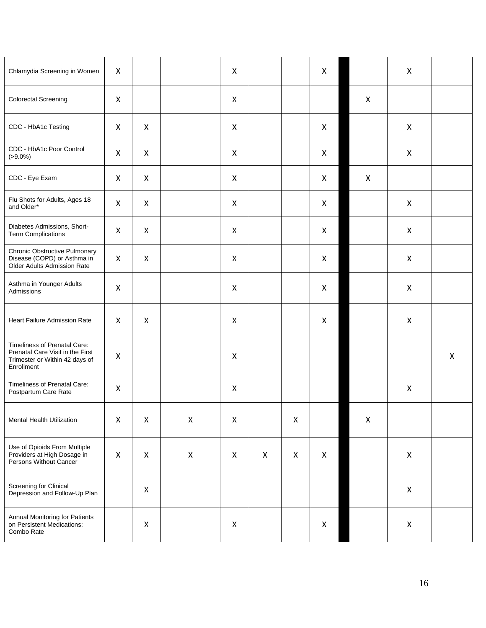| Chlamydia Screening in Women                                                                                     | $\pmb{\mathsf{X}}$ |              |                    | X |                    |   | $\mathsf{X}$ |                    | $\mathsf{X}$   |              |
|------------------------------------------------------------------------------------------------------------------|--------------------|--------------|--------------------|---|--------------------|---|--------------|--------------------|----------------|--------------|
| <b>Colorectal Screening</b>                                                                                      | $\mathsf{X}$       |              |                    | X |                    |   |              | $\mathsf{X}$       |                |              |
| CDC - HbA1c Testing                                                                                              | $\mathsf{X}$       | X            |                    | X |                    |   | X            |                    | $\mathsf{X}$   |              |
| CDC - HbA1c Poor Control<br>$( > 9.0\%)$                                                                         | X                  | X            |                    | X |                    |   | X            |                    | X              |              |
| CDC - Eye Exam                                                                                                   | X                  | $\mathsf{X}$ |                    | X |                    |   | X            | $\mathsf{X}$       |                |              |
| Flu Shots for Adults, Ages 18<br>and Older*                                                                      | $\mathsf{X}$       | X            |                    | X |                    |   | X            |                    | X              |              |
| Diabetes Admissions, Short-<br><b>Term Complications</b>                                                         | $\mathsf{X}$       | X            |                    | X |                    |   | X            |                    | $\pmb{\times}$ |              |
| <b>Chronic Obstructive Pulmonary</b><br>Disease (COPD) or Asthma in<br>Older Adults Admission Rate               | X                  | X            |                    | X |                    |   | X            |                    | X              |              |
| Asthma in Younger Adults<br>Admissions                                                                           | $\mathsf{X}$       |              |                    | X |                    |   | $\mathsf{X}$ |                    | X              |              |
| Heart Failure Admission Rate                                                                                     | X                  | X            |                    | X |                    |   | X            |                    | $\mathsf{X}$   |              |
| Timeliness of Prenatal Care:<br>Prenatal Care Visit in the First<br>Trimester or Within 42 days of<br>Enrollment | $\mathsf{X}$       |              |                    | X |                    |   |              |                    |                | $\mathsf{X}$ |
| Timeliness of Prenatal Care:<br>Postpartum Care Rate                                                             | $\mathsf{X}$       |              |                    | X |                    |   |              |                    | X              |              |
| Mental Health Utilization                                                                                        | $\mathsf{X}$       | X            | $\pmb{\mathsf{X}}$ | X |                    | X |              | $\pmb{\mathsf{X}}$ |                |              |
| Use of Opioids From Multiple<br>Providers at High Dosage in<br>Persons Without Cancer                            | $\pmb{\mathsf{X}}$ | X            | $\pmb{\mathsf{X}}$ | X | $\pmb{\mathsf{X}}$ | X | X            |                    | X              |              |
| Screening for Clinical<br>Depression and Follow-Up Plan                                                          |                    | X            |                    |   |                    |   |              |                    | $\pmb{\times}$ |              |
| Annual Monitoring for Patients<br>on Persistent Medications:<br>Combo Rate                                       |                    | X            |                    | X |                    |   | X            |                    | X              |              |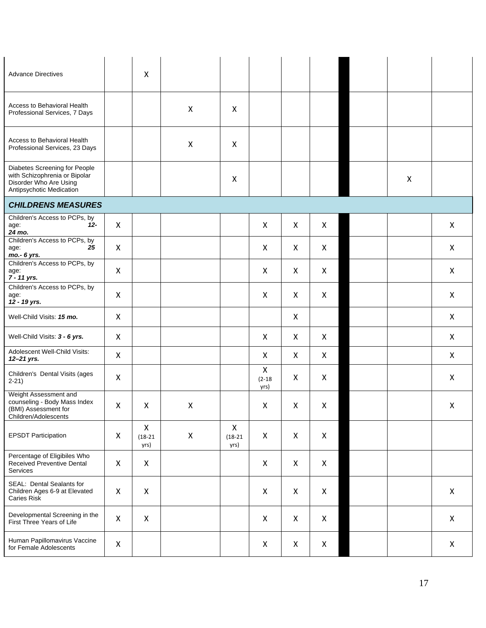| <b>Advance Directives</b>                                                                                            |                           | $\boldsymbol{\mathsf{X}}$         |                           |                                   |                                    |              |                |                           |                |
|----------------------------------------------------------------------------------------------------------------------|---------------------------|-----------------------------------|---------------------------|-----------------------------------|------------------------------------|--------------|----------------|---------------------------|----------------|
| Access to Behavioral Health<br>Professional Services, 7 Days                                                         |                           |                                   | $\boldsymbol{\mathsf{X}}$ | X                                 |                                    |              |                |                           |                |
| Access to Behavioral Health<br>Professional Services, 23 Days                                                        |                           |                                   | $\boldsymbol{\mathsf{X}}$ | X                                 |                                    |              |                |                           |                |
| Diabetes Screening for People<br>with Schizophrenia or Bipolar<br>Disorder Who Are Using<br>Antipsychotic Medication |                           |                                   |                           | X                                 |                                    |              |                | $\boldsymbol{\mathsf{X}}$ |                |
| <b>CHILDRENS MEASURES</b>                                                                                            |                           |                                   |                           |                                   |                                    |              |                |                           |                |
| Children's Access to PCPs, by<br>$12 -$<br>age:<br>24 mo.                                                            | $\mathsf{X}$              |                                   |                           |                                   | X                                  | X            | X              |                           | $\mathsf{X}$   |
| Children's Access to PCPs, by<br>25<br>age:<br>mo.- 6 yrs.                                                           | $\boldsymbol{\mathsf{X}}$ |                                   |                           |                                   | X                                  | X            | X              |                           | $\mathsf{X}$   |
| Children's Access to PCPs, by<br>age:<br>7 - 11 yrs.                                                                 | $\mathsf{X}$              |                                   |                           |                                   | X                                  | X            | X              |                           | X              |
| Children's Access to PCPs, by<br>age:<br>12 - 19 yrs.                                                                | $\pmb{\mathsf{X}}$        |                                   |                           |                                   | $\pmb{\mathsf{X}}$                 | X            | X              |                           | $\mathsf{X}$   |
| Well-Child Visits: 15 mo.                                                                                            | X                         |                                   |                           |                                   |                                    | X            |                |                           | $\mathsf{X}$   |
| Well-Child Visits: 3 - 6 yrs.                                                                                        | $\mathsf{X}$              |                                   |                           |                                   | X                                  | X            | X              |                           | $\mathsf{X}$   |
| Adolescent Well-Child Visits:<br>12-21 yrs.                                                                          | $\mathsf{X}$              |                                   |                           |                                   | X                                  | X            | X              |                           | $\mathsf{X}$   |
| Children's Dental Visits (ages<br>$2-21)$                                                                            | $\pmb{\times}$            |                                   |                           |                                   | $\pmb{\times}$<br>$(2-18)$<br>yrs) | X            | X              |                           | $\mathsf{X}$   |
| Weight Assessment and<br>counseling - Body Mass Index<br>(BMI) Assessment for<br>Children/Adolescents                | X                         | X                                 | $\pmb{\times}$            |                                   | X                                  | X            | X              |                           | $\pmb{\times}$ |
| <b>EPSDT Participation</b>                                                                                           | X                         | $\mathsf{X}$<br>$(18-21)$<br>yrs) | $\pmb{\mathsf{X}}$        | $\mathsf{X}$<br>$(18-21)$<br>yrs) | $\pmb{\mathsf{X}}$                 | $\mathsf{X}$ | $\pmb{\times}$ |                           |                |
| Percentage of Eligibiles Who<br>Received Preventive Dental<br>Services                                               | $\pmb{\mathsf{X}}$        | $\mathsf{X}$                      |                           |                                   | $\pmb{\mathsf{X}}$                 | X            | $\mathsf{X}$   |                           |                |
| SEAL: Dental Sealants for<br>Children Ages 6-9 at Elevated<br>Caries Risk                                            | X                         | $\pmb{\times}$                    |                           |                                   | X                                  | X            | $\pmb{\times}$ |                           | $\mathsf{X}$   |
| Developmental Screening in the<br>First Three Years of Life                                                          | $\pmb{\times}$            | $\pmb{\times}$                    |                           |                                   | X                                  | X            | $\mathsf{X}$   |                           | $\mathsf{X}$   |
| Human Papillomavirus Vaccine<br>for Female Adolescents                                                               | $\pmb{\mathsf{X}}$        |                                   |                           |                                   | X                                  | X            | X              |                           | $\mathsf{X}$   |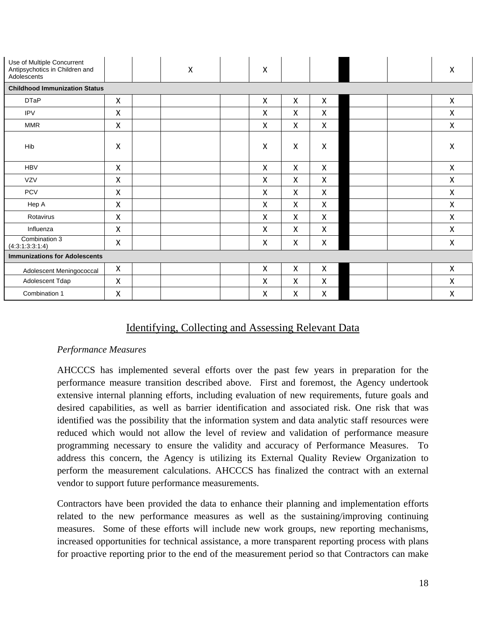| Use of Multiple Concurrent<br>Antipsychotics in Children and<br>Adolescents |                    |  | $\pmb{\mathsf{X}}$ | X                         |                           |                           |  | X                         |
|-----------------------------------------------------------------------------|--------------------|--|--------------------|---------------------------|---------------------------|---------------------------|--|---------------------------|
| <b>Childhood Immunization Status</b>                                        |                    |  |                    |                           |                           |                           |  |                           |
| <b>DTaP</b>                                                                 | X                  |  |                    | $\boldsymbol{\mathsf{X}}$ | X                         | X                         |  | $\pmb{\mathsf{X}}$        |
| <b>IPV</b>                                                                  | Χ                  |  |                    | $\boldsymbol{\mathsf{X}}$ | X                         | X                         |  | $\pmb{\chi}$              |
| <b>MMR</b>                                                                  | $\pmb{\times}$     |  |                    | $\boldsymbol{\mathsf{X}}$ | X                         | X                         |  | $\boldsymbol{\mathsf{X}}$ |
| Hib                                                                         | Χ                  |  |                    | $\mathsf{X}$              | $\boldsymbol{\mathsf{X}}$ | X                         |  | $\boldsymbol{\mathsf{X}}$ |
| <b>HBV</b>                                                                  | X                  |  |                    | $\boldsymbol{\mathsf{X}}$ | X                         | X                         |  | $\boldsymbol{\mathsf{X}}$ |
| <b>VZV</b>                                                                  | Χ                  |  |                    | $\boldsymbol{\mathsf{X}}$ | X                         | X                         |  | X                         |
| <b>PCV</b>                                                                  | Χ                  |  |                    | $\boldsymbol{\mathsf{X}}$ | X                         | X                         |  | X                         |
| Hep A                                                                       | $\pmb{\mathsf{X}}$ |  |                    | $\boldsymbol{\mathsf{X}}$ | $\boldsymbol{\mathsf{X}}$ | $\boldsymbol{\mathsf{X}}$ |  | $\boldsymbol{\mathsf{X}}$ |
| Rotavirus                                                                   | X                  |  |                    | $\boldsymbol{\mathsf{X}}$ | X                         | X                         |  | $\boldsymbol{\mathsf{X}}$ |
| Influenza                                                                   | Χ                  |  |                    | X                         | X                         | X                         |  | $\mathsf{X}$              |
| Combination 3<br>(4:3:1:3:3:1:4)                                            | Χ                  |  |                    | $\boldsymbol{\mathsf{X}}$ | X                         | X                         |  | $\pmb{\mathsf{X}}$        |
| <b>Immunizations for Adolescents</b>                                        |                    |  |                    |                           |                           |                           |  |                           |
| Adolescent Meningococcal                                                    | $\pmb{\mathsf{X}}$ |  |                    | X                         | $\pmb{\mathsf{X}}$        | X                         |  | $\pmb{\mathsf{X}}$        |
| Adolescent Tdap                                                             | $\pmb{\mathsf{X}}$ |  |                    | $\pmb{\mathsf{X}}$        | $\pmb{\mathsf{X}}$        | $\pmb{\mathsf{X}}$        |  | $\mathsf{X}$              |
| Combination 1                                                               | Χ                  |  |                    | X                         | X                         | $\pmb{\mathsf{X}}$        |  | $\pmb{\chi}$              |

# Identifying, Collecting and Assessing Relevant Data

## *Performance Measures*

AHCCCS has implemented several efforts over the past few years in preparation for the performance measure transition described above. First and foremost, the Agency undertook extensive internal planning efforts, including evaluation of new requirements, future goals and desired capabilities, as well as barrier identification and associated risk. One risk that was identified was the possibility that the information system and data analytic staff resources were reduced which would not allow the level of review and validation of performance measure programming necessary to ensure the validity and accuracy of Performance Measures. To address this concern, the Agency is utilizing its External Quality Review Organization to perform the measurement calculations. AHCCCS has finalized the contract with an external vendor to support future performance measurements.

Contractors have been provided the data to enhance their planning and implementation efforts related to the new performance measures as well as the sustaining/improving continuing measures. Some of these efforts will include new work groups, new reporting mechanisms, increased opportunities for technical assistance, a more transparent reporting process with plans for proactive reporting prior to the end of the measurement period so that Contractors can make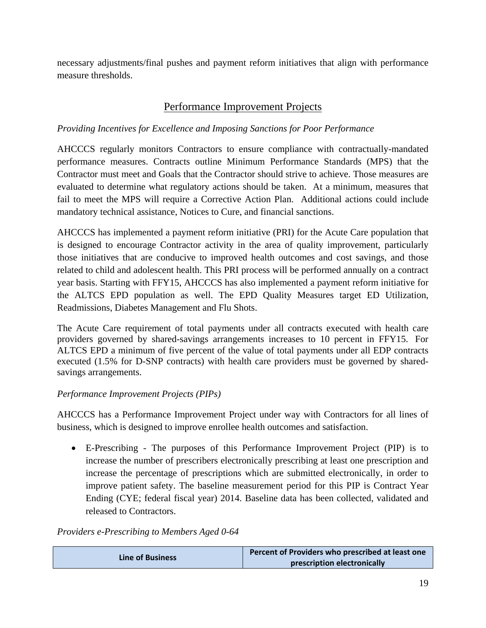necessary adjustments/final pushes and payment reform initiatives that align with performance measure thresholds.

# Performance Improvement Projects

# *Providing Incentives for Excellence and Imposing Sanctions for Poor Performance*

AHCCCS regularly monitors Contractors to ensure compliance with contractually-mandated performance measures. Contracts outline Minimum Performance Standards (MPS) that the Contractor must meet and Goals that the Contractor should strive to achieve. Those measures are evaluated to determine what regulatory actions should be taken. At a minimum, measures that fail to meet the MPS will require a Corrective Action Plan. Additional actions could include mandatory technical assistance, Notices to Cure, and financial sanctions.

AHCCCS has implemented a payment reform initiative (PRI) for the Acute Care population that is designed to encourage Contractor activity in the area of quality improvement, particularly those initiatives that are conducive to improved health outcomes and cost savings, and those related to child and adolescent health. This PRI process will be performed annually on a contract year basis. Starting with FFY15, AHCCCS has also implemented a payment reform initiative for the ALTCS EPD population as well. The EPD Quality Measures target ED Utilization, Readmissions, Diabetes Management and Flu Shots.

The Acute Care requirement of total payments under all contracts executed with health care providers governed by shared-savings arrangements increases to 10 percent in FFY15. For ALTCS EPD a minimum of five percent of the value of total payments under all EDP contracts executed (1.5% for D-SNP contracts) with health care providers must be governed by sharedsavings arrangements.

# *Performance Improvement Projects (PIPs)*

AHCCCS has a Performance Improvement Project under way with Contractors for all lines of business, which is designed to improve enrollee health outcomes and satisfaction.

• E-Prescribing - The purposes of this Performance Improvement Project (PIP) is to increase the number of prescribers electronically prescribing at least one prescription and increase the percentage of prescriptions which are submitted electronically, in order to improve patient safety. The baseline measurement period for this PIP is Contract Year Ending (CYE; federal fiscal year) 2014. Baseline data has been collected, validated and released to Contractors.

# *Providers e-Prescribing to Members Aged 0-64*

|                         | Percent of Providers who prescribed at least one |
|-------------------------|--------------------------------------------------|
| <b>Line of Business</b> | prescription electronically                      |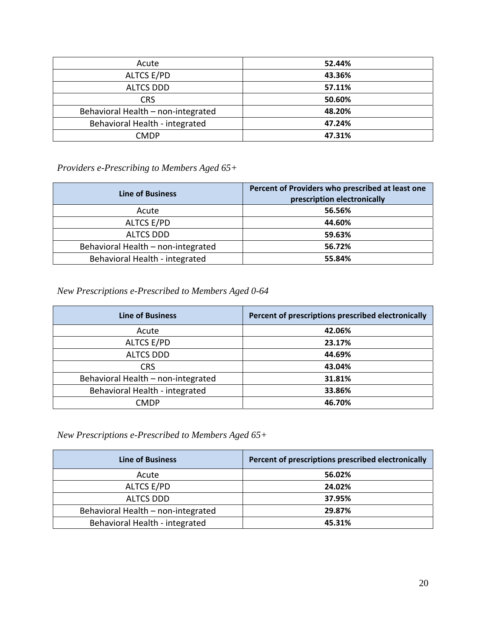| Acute                              | 52.44% |
|------------------------------------|--------|
| ALTCS E/PD                         | 43.36% |
| <b>ALTCS DDD</b>                   | 57.11% |
| <b>CRS</b>                         | 50.60% |
| Behavioral Health - non-integrated | 48.20% |
| Behavioral Health - integrated     | 47.24% |
| <b>CMDP</b>                        | 47.31% |

# *Providers e-Prescribing to Members Aged 65+*

| <b>Line of Business</b>            | Percent of Providers who prescribed at least one<br>prescription electronically |
|------------------------------------|---------------------------------------------------------------------------------|
| Acute                              | 56.56%                                                                          |
| ALTCS E/PD                         | 44.60%                                                                          |
| <b>ALTCS DDD</b>                   | 59.63%                                                                          |
| Behavioral Health - non-integrated | 56.72%                                                                          |
| Behavioral Health - integrated     | 55.84%                                                                          |

# *New Prescriptions e-Prescribed to Members Aged 0-64*

| <b>Line of Business</b>            | Percent of prescriptions prescribed electronically |
|------------------------------------|----------------------------------------------------|
| Acute                              | 42.06%                                             |
| <b>ALTCS E/PD</b>                  | 23.17%                                             |
| <b>ALTCS DDD</b>                   | 44.69%                                             |
| <b>CRS</b>                         | 43.04%                                             |
| Behavioral Health - non-integrated | 31.81%                                             |
| Behavioral Health - integrated     | 33.86%                                             |
| <b>CMDP</b>                        | 46.70%                                             |

# *New Prescriptions e-Prescribed to Members Aged 65+*

| <b>Line of Business</b>            | Percent of prescriptions prescribed electronically |
|------------------------------------|----------------------------------------------------|
| Acute                              | 56.02%                                             |
| ALTCS E/PD                         | 24.02%                                             |
| <b>ALTCS DDD</b>                   | 37.95%                                             |
| Behavioral Health - non-integrated | 29.87%                                             |
| Behavioral Health - integrated     | 45.31%                                             |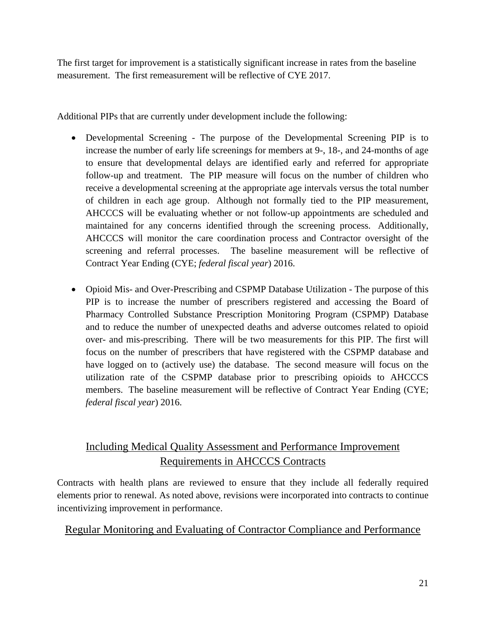The first target for improvement is a statistically significant increase in rates from the baseline measurement. The first remeasurement will be reflective of CYE 2017.

Additional PIPs that are currently under development include the following:

- Developmental Screening The purpose of the Developmental Screening PIP is to increase the number of early life screenings for members at 9-, 18-, and 24-months of age to ensure that developmental delays are identified early and referred for appropriate follow-up and treatment. The PIP measure will focus on the number of children who receive a developmental screening at the appropriate age intervals versus the total number of children in each age group. Although not formally tied to the PIP measurement, AHCCCS will be evaluating whether or not follow-up appointments are scheduled and maintained for any concerns identified through the screening process. Additionally, AHCCCS will monitor the care coordination process and Contractor oversight of the screening and referral processes. The baseline measurement will be reflective of Contract Year Ending (CYE; *federal fiscal year*) 2016.
- Opioid Mis- and Over-Prescribing and CSPMP Database Utilization The purpose of this PIP is to increase the number of prescribers registered and accessing the Board of Pharmacy Controlled Substance Prescription Monitoring Program (CSPMP) Database and to reduce the number of unexpected deaths and adverse outcomes related to opioid over- and mis-prescribing. There will be two measurements for this PIP. The first will focus on the number of prescribers that have registered with the CSPMP database and have logged on to (actively use) the database. The second measure will focus on the utilization rate of the CSPMP database prior to prescribing opioids to AHCCCS members. The baseline measurement will be reflective of Contract Year Ending (CYE; *federal fiscal year*) 2016.

# Including Medical Quality Assessment and Performance Improvement Requirements in AHCCCS Contracts

Contracts with health plans are reviewed to ensure that they include all federally required elements prior to renewal. As noted above, revisions were incorporated into contracts to continue incentivizing improvement in performance.

# Regular Monitoring and Evaluating of Contractor Compliance and Performance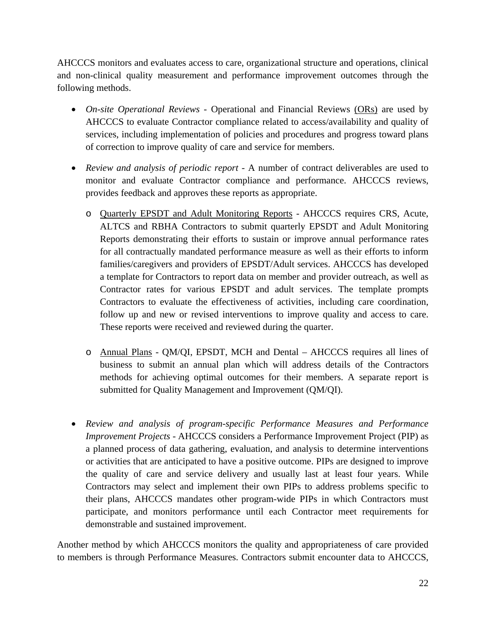AHCCCS monitors and evaluates access to care, organizational structure and operations, clinical and non-clinical quality measurement and performance improvement outcomes through the following methods.

- *On-site Operational Reviews Operational and Financial Reviews (ORs) are used by* AHCCCS to evaluate Contractor compliance related to access/availability and quality of services, including implementation of policies and procedures and progress toward plans of correction to improve quality of care and service for members.
- *Review and analysis of periodic report* A number of contract deliverables are used to monitor and evaluate Contractor compliance and performance. AHCCCS reviews, provides feedback and approves these reports as appropriate.
	- o Quarterly EPSDT and Adult Monitoring Reports AHCCCS requires CRS, Acute, ALTCS and RBHA Contractors to submit quarterly EPSDT and Adult Monitoring Reports demonstrating their efforts to sustain or improve annual performance rates for all contractually mandated performance measure as well as their efforts to inform families/caregivers and providers of EPSDT/Adult services. AHCCCS has developed a template for Contractors to report data on member and provider outreach, as well as Contractor rates for various EPSDT and adult services. The template prompts Contractors to evaluate the effectiveness of activities, including care coordination, follow up and new or revised interventions to improve quality and access to care. These reports were received and reviewed during the quarter.
	- o Annual Plans QM/QI, EPSDT, MCH and Dental AHCCCS requires all lines of business to submit an annual plan which will address details of the Contractors methods for achieving optimal outcomes for their members. A separate report is submitted for Quality Management and Improvement (QM/QI).
- *Review and analysis of program-specific Performance Measures and Performance Improvement Projects -* AHCCCS considers a Performance Improvement Project (PIP) as a planned process of data gathering, evaluation, and analysis to determine interventions or activities that are anticipated to have a positive outcome. PIPs are designed to improve the quality of care and service delivery and usually last at least four years. While Contractors may select and implement their own PIPs to address problems specific to their plans, AHCCCS mandates other program-wide PIPs in which Contractors must participate, and monitors performance until each Contractor meet requirements for demonstrable and sustained improvement.

Another method by which AHCCCS monitors the quality and appropriateness of care provided to members is through Performance Measures. Contractors submit encounter data to AHCCCS,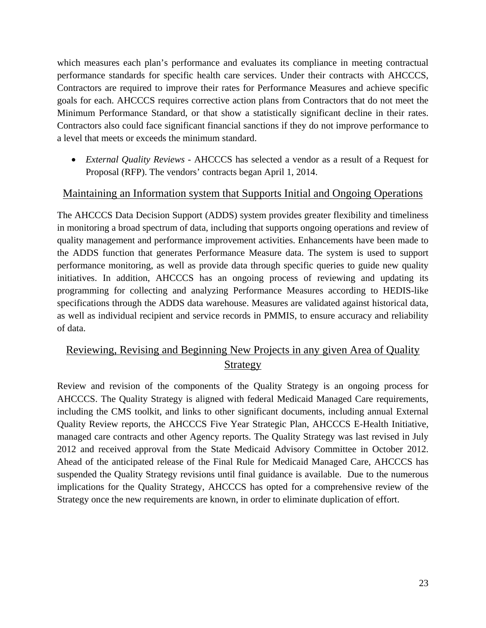which measures each plan's performance and evaluates its compliance in meeting contractual performance standards for specific health care services. Under their contracts with AHCCCS, Contractors are required to improve their rates for Performance Measures and achieve specific goals for each. AHCCCS requires corrective action plans from Contractors that do not meet the Minimum Performance Standard, or that show a statistically significant decline in their rates. Contractors also could face significant financial sanctions if they do not improve performance to a level that meets or exceeds the minimum standard.

• *External Quality Reviews -* AHCCCS has selected a vendor as a result of a Request for Proposal (RFP). The vendors' contracts began April 1, 2014.

# Maintaining an Information system that Supports Initial and Ongoing Operations

The AHCCCS Data Decision Support (ADDS) system provides greater flexibility and timeliness in monitoring a broad spectrum of data, including that supports ongoing operations and review of quality management and performance improvement activities. Enhancements have been made to the ADDS function that generates Performance Measure data. The system is used to support performance monitoring, as well as provide data through specific queries to guide new quality initiatives. In addition, AHCCCS has an ongoing process of reviewing and updating its programming for collecting and analyzing Performance Measures according to HEDIS-like specifications through the ADDS data warehouse. Measures are validated against historical data, as well as individual recipient and service records in PMMIS, to ensure accuracy and reliability of data.

# Reviewing, Revising and Beginning New Projects in any given Area of Quality Strategy

Review and revision of the components of the Quality Strategy is an ongoing process for AHCCCS. The Quality Strategy is aligned with federal Medicaid Managed Care requirements, including the CMS toolkit, and links to other significant documents, including annual External Quality Review reports, the AHCCCS Five Year Strategic Plan, AHCCCS E-Health Initiative, managed care contracts and other Agency reports. The Quality Strategy was last revised in July 2012 and received approval from the State Medicaid Advisory Committee in October 2012. Ahead of the anticipated release of the Final Rule for Medicaid Managed Care, AHCCCS has suspended the Quality Strategy revisions until final guidance is available. Due to the numerous implications for the Quality Strategy, AHCCCS has opted for a comprehensive review of the Strategy once the new requirements are known, in order to eliminate duplication of effort.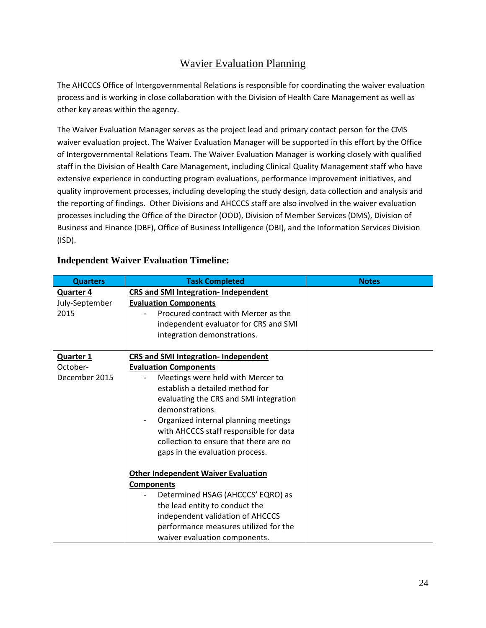# Wavier Evaluation Planning

The AHCCCS Office of Intergovernmental Relations is responsible for coordinating the waiver evaluation process and is working in close collaboration with the Division of Health Care Management as well as other key areas within the agency.

The Waiver Evaluation Manager serves as the project lead and primary contact person for the CMS waiver evaluation project. The Waiver Evaluation Manager will be supported in this effort by the Office of Intergovernmental Relations Team. The Waiver Evaluation Manager is working closely with qualified staff in the Division of Health Care Management, including Clinical Quality Management staff who have extensive experience in conducting program evaluations, performance improvement initiatives, and quality improvement processes, including developing the study design, data collection and analysis and the reporting of findings. Other Divisions and AHCCCS staff are also involved in the waiver evaluation processes including the Office of the Director (OOD), Division of Member Services (DMS), Division of Business and Finance (DBF), Office of Business Intelligence (OBI), and the Information Services Division (ISD).

| <b>Quarters</b>  | <b>Task Completed</b>                       | <b>Notes</b> |
|------------------|---------------------------------------------|--------------|
| <b>Quarter 4</b> | <b>CRS and SMI Integration- Independent</b> |              |
| July-September   | <b>Evaluation Components</b>                |              |
| 2015             | Procured contract with Mercer as the        |              |
|                  | independent evaluator for CRS and SMI       |              |
|                  | integration demonstrations.                 |              |
|                  |                                             |              |
| <b>Quarter 1</b> | <b>CRS and SMI Integration- Independent</b> |              |
| October-         | <b>Evaluation Components</b>                |              |
| December 2015    | Meetings were held with Mercer to           |              |
|                  | establish a detailed method for             |              |
|                  | evaluating the CRS and SMI integration      |              |
|                  | demonstrations.                             |              |
|                  | Organized internal planning meetings        |              |
|                  | with AHCCCS staff responsible for data      |              |
|                  | collection to ensure that there are no      |              |
|                  | gaps in the evaluation process.             |              |
|                  |                                             |              |
|                  | <b>Other Independent Waiver Evaluation</b>  |              |
|                  | <b>Components</b>                           |              |
|                  | Determined HSAG (AHCCCS' EQRO) as           |              |
|                  | the lead entity to conduct the              |              |
|                  | independent validation of AHCCCS            |              |
|                  | performance measures utilized for the       |              |
|                  | waiver evaluation components.               |              |

# **Independent Waiver Evaluation Timeline:**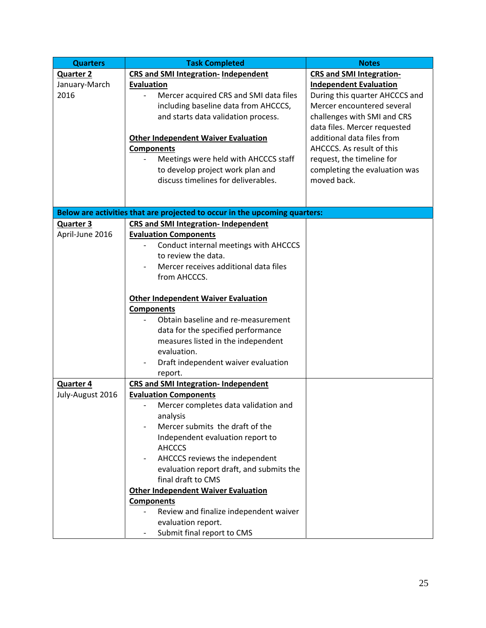| <b>Quarters</b>  | <b>Task Completed</b>                                                      | <b>Notes</b>                    |
|------------------|----------------------------------------------------------------------------|---------------------------------|
| <b>Quarter 2</b> | <b>CRS and SMI Integration- Independent</b>                                | <b>CRS and SMI Integration-</b> |
| January-March    | <b>Evaluation</b>                                                          | <b>Independent Evaluation</b>   |
| 2016             | Mercer acquired CRS and SMI data files                                     | During this quarter AHCCCS and  |
|                  | including baseline data from AHCCCS,                                       | Mercer encountered several      |
|                  | and starts data validation process.                                        | challenges with SMI and CRS     |
|                  |                                                                            | data files. Mercer requested    |
|                  | <b>Other Independent Waiver Evaluation</b>                                 | additional data files from      |
|                  | <b>Components</b>                                                          | AHCCCS. As result of this       |
|                  | Meetings were held with AHCCCS staff                                       | request, the timeline for       |
|                  | to develop project work plan and                                           | completing the evaluation was   |
|                  | discuss timelines for deliverables.                                        | moved back.                     |
|                  |                                                                            |                                 |
|                  |                                                                            |                                 |
|                  | Below are activities that are projected to occur in the upcoming quarters: |                                 |
| <b>Quarter 3</b> | <b>CRS and SMI Integration- Independent</b>                                |                                 |
| April-June 2016  | <b>Evaluation Components</b>                                               |                                 |
|                  | Conduct internal meetings with AHCCCS                                      |                                 |
|                  | to review the data.                                                        |                                 |
|                  | Mercer receives additional data files                                      |                                 |
|                  | from AHCCCS.                                                               |                                 |
|                  | <b>Other Independent Waiver Evaluation</b>                                 |                                 |
|                  | <b>Components</b>                                                          |                                 |
|                  | Obtain baseline and re-measurement                                         |                                 |
|                  | data for the specified performance                                         |                                 |
|                  | measures listed in the independent                                         |                                 |
|                  | evaluation.                                                                |                                 |
|                  | Draft independent waiver evaluation                                        |                                 |
|                  | report.                                                                    |                                 |
| Quarter 4        | <b>CRS and SMI Integration- Independent</b>                                |                                 |
| July-August 2016 | <b>Evaluation Components</b>                                               |                                 |
|                  | Mercer completes data validation and                                       |                                 |
|                  | analysis                                                                   |                                 |
|                  | Mercer submits the draft of the                                            |                                 |
|                  | Independent evaluation report to                                           |                                 |
|                  | <b>AHCCCS</b>                                                              |                                 |
|                  | AHCCCS reviews the independent                                             |                                 |
|                  | evaluation report draft, and submits the                                   |                                 |
|                  | final draft to CMS                                                         |                                 |
|                  | <b>Other Independent Waiver Evaluation</b>                                 |                                 |
|                  | <b>Components</b>                                                          |                                 |
|                  | Review and finalize independent waiver                                     |                                 |
|                  | evaluation report.                                                         |                                 |
|                  | Submit final report to CMS<br>-                                            |                                 |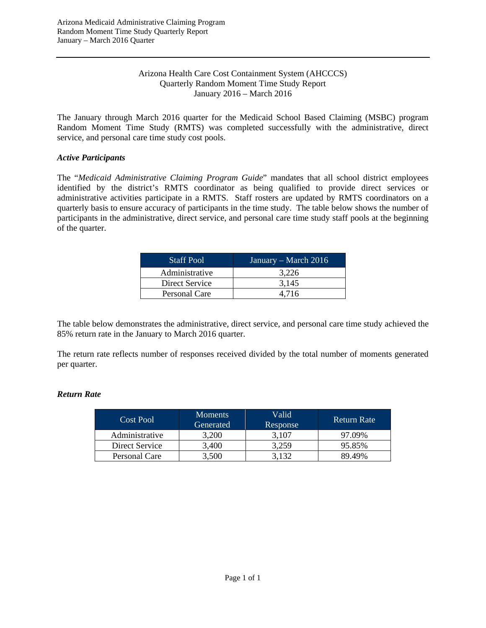#### Arizona Health Care Cost Containment System (AHCCCS) Quarterly Random Moment Time Study Report January 2016 – March 2016

The January through March 2016 quarter for the Medicaid School Based Claiming (MSBC) program Random Moment Time Study (RMTS) was completed successfully with the administrative, direct service, and personal care time study cost pools.

### *Active Participants*

The "*Medicaid Administrative Claiming Program Guide*" mandates that all school district employees identified by the district's RMTS coordinator as being qualified to provide direct services or administrative activities participate in a RMTS. Staff rosters are updated by RMTS coordinators on a quarterly basis to ensure accuracy of participants in the time study. The table below shows the number of participants in the administrative, direct service, and personal care time study staff pools at the beginning of the quarter.

| <b>Staff Pool</b> | January – March 2016 |
|-------------------|----------------------|
| Administrative    | 3.226                |
| Direct Service    | 3.145                |
| Personal Care     | 4.716                |

The table below demonstrates the administrative, direct service, and personal care time study achieved the 85% return rate in the January to March 2016 quarter.

The return rate reflects number of responses received divided by the total number of moments generated per quarter.

### *Return Rate*

| Cost Pool      | <b>Moments</b><br>Generated | Valid<br>Response | <b>Return Rate</b> |
|----------------|-----------------------------|-------------------|--------------------|
| Administrative | 3.200                       | 3.107             | 97.09%             |
| Direct Service | 3.400                       | 3.259             | 95.85%             |
| Personal Care  | 3,500                       | 3.132             | 89.49%             |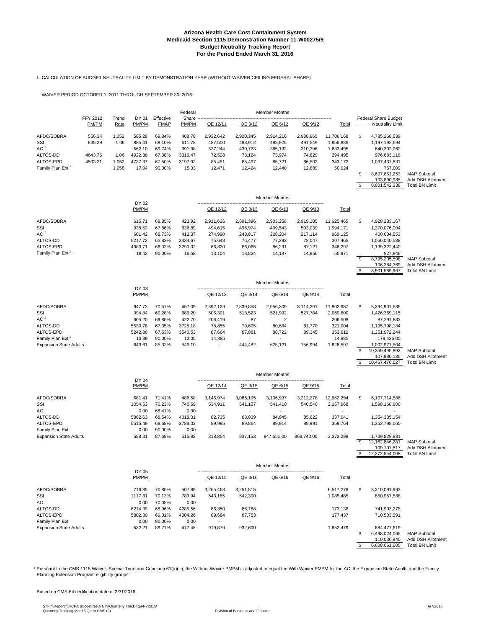#### I. CALCULATION OF BUDGET NEUTRALITY LIMIT BY DEMONSTRATION YEAR (WITHOUT WAIVER CEILING FEDERAL SHARE)

WAIVER PERIOD OCTOBER 1, 2011 THROUGH SEPTEMBER 30, 2016:

|                                     |                          |               |                   |                          | Federal           |                          |                   | <b>Member Months</b> |                   |                      |                                                        |                                          |
|-------------------------------------|--------------------------|---------------|-------------------|--------------------------|-------------------|--------------------------|-------------------|----------------------|-------------------|----------------------|--------------------------------------------------------|------------------------------------------|
|                                     | <b>FFY 2012</b><br>PM/PM | Trend<br>Rate | DY 01<br>PM/PM    | Effective<br><b>FMAP</b> | Share<br>PM/PM    | QE 12/11                 | QE 3/12           | QE 6/12              | QE 9/12           | Total                | <b>Federal Share Budget</b><br><b>Neutrality Limit</b> |                                          |
| AFDC/SOBRA                          | 556.34                   | 1.052         | 585.28            | 69.84%                   | 408.78            | 2,932,642                | 2,920,345         | 2,914,216            | 2,938,965         | 11,706,168           | \$<br>4,785,268,539                                    |                                          |
| SSI<br>AC <sup>1</sup>              | 835.29                   | 1.06          | 885.41            | 69.10%                   | 611.78            | 487,500                  | 488,912           | 488,925              | 491,549           | 1,956,886            | 1,197,192,694                                          |                                          |
| ALTCS-DD                            | 4643.75                  | 1.06          | 562.10<br>4922.38 | 69.74%<br>67.38%         | 391.98<br>3316.47 | 527,244<br>72,528        | 430,723<br>73,164 | 365,132<br>73,974    | 310,396<br>74,829 | 1,633,495<br>294,495 | 640,302,062<br>976,683,118                             |                                          |
| ALTCS-EPD                           | 4503.21                  | 1.052         | 4737.37           | 67.50%                   | 3197.92           | 85,451                   | 85,497            | 85,721               | 86,503            | 343,172              | 1,097,437,831                                          |                                          |
| Family Plan Ext <sup>1</sup>        |                          | 1.058         | 17.04             | 90.00%                   | 15.33             | 12,471                   | 12,424            | 12,440               | 12,689            | 50,024               | 767,009                                                |                                          |
|                                     |                          |               |                   |                          |                   |                          |                   |                      |                   |                      | \$<br>8,697,651,253                                    | <b>MAP Subtotal</b>                      |
|                                     |                          |               |                   |                          |                   |                          |                   |                      |                   |                      | 103,890,985                                            | Add DSH Allotment                        |
|                                     |                          |               |                   |                          |                   |                          |                   |                      |                   |                      | \$<br>8,801,542,238                                    | <b>Total BN Limit</b>                    |
|                                     |                          |               | DY 02             |                          |                   |                          |                   | <b>Member Months</b> |                   |                      |                                                        |                                          |
|                                     |                          |               | PM/PM             |                          |                   | QE 12/12                 | QE 3/13           | QE 6/13              | QE 9/13           | Total                |                                                        |                                          |
| AFDC/SOBRA                          |                          |               | 615.71            | 68.85%                   | 423.92            | 2,911,626                | 2,891,396         | 2,903,258            | 2,919,185         | 11,625,465           | \$<br>4,928,233,167                                    |                                          |
| SSI                                 |                          |               | 938.53            | 67.86%                   | 636.89            | 494,615                  | 496,974           | 499,543              | 503,039           | 1,994,171            | 1,270,076,904                                          |                                          |
| AC <sup>1</sup>                     |                          |               | 601.42            | 68.73%                   | 413.37            | 274,990                  | 248,817           | 228,204              | 217,114           | 969,125              | 400,604,553                                            |                                          |
| ALTCS-DD                            |                          |               | 5217.72           | 65.83%                   | 3434.67           | 75,648                   | 76,477            | 77,293               | 78,047            | 307,465              | 1,056,040,588                                          |                                          |
| ALTCS-EPD                           |                          |               | 4983.71           | 66.02%                   | 3290.02           | 86,820                   | 86,065            | 86,291               | 87,121            | 346,297              | 1,139,322,440                                          |                                          |
| Family Plan Ext                     |                          |               | 18.42             | 90.00%                   | 16.58             | 13,104                   | 13,824            | 14,187               | 14,856            | 55,971               | \$<br>927,946<br>8,795,205,598                         | <b>MAP Subtotal</b>                      |
|                                     |                          |               |                   |                          |                   |                          |                   |                      |                   |                      | 106,384,369                                            | Add DSH Allotment                        |
|                                     |                          |               |                   |                          |                   |                          |                   |                      |                   |                      | \$<br>8,901,589,967                                    | <b>Total BN Limit</b>                    |
|                                     |                          |               |                   |                          |                   |                          |                   | <b>Member Months</b> |                   |                      |                                                        |                                          |
|                                     |                          |               | DY 03<br>PM/PM    |                          |                   | QE 12/13                 | QE 3/14           | QE 6/14              | QE 9/14           | <b>Total</b>         |                                                        |                                          |
| AFDC/SOBRA                          |                          |               | 647.73            | 70.57%                   | 457.09            | 2,892,129                | 2,839,858         | 2,956,309            | 3,114,391         | 11,802,687           | \$<br>5,394,907,536                                    |                                          |
| SSI                                 |                          |               | 994.84            | 69.28%                   | 689.20            | 506,301                  | 513,523           | 521,992              | 527,784           | 2,069,600            | 1,426,369,115                                          |                                          |
| AC <sup>1</sup>                     |                          |               | 605.20            | 69.85%                   | 422.70            | 206,419                  | 87                | $\overline{2}$       |                   | 206,508              | 87,291,883                                             |                                          |
| ALTCS-DD                            |                          |               | 5530.78           | 67.35%                   | 3725.18           | 78,855                   | 79,695            | 80,684               | 81,770            | 321,004              | 1,195,798,184                                          |                                          |
| ALTCS-EPD                           |                          |               | 5242.86           | 67.53%                   | 3540.53           | 87,664                   | 87,881            | 88,722               | 89,345            | 353,612              | 1,251,972,244                                          |                                          |
| Family Plan Ext <sup>1</sup>        |                          |               | 13.39             | 90.00%                   | 12.05             | 14,885                   |                   |                      |                   | 14,885               | 179,426.00                                             |                                          |
| Expansion State Adults <sup>1</sup> |                          |               | 643.61            | 85.32%                   | 549.10            |                          | 444,482           | 625,121              | 756,994           | 1,826,597            | \$<br>1,002,977,504                                    |                                          |
|                                     |                          |               |                   |                          |                   |                          |                   |                      |                   |                      | 10,359,495,892<br>107,980,135                          | <b>MAP Subtotal</b><br>Add DSH Allotment |
|                                     |                          |               |                   |                          |                   |                          |                   |                      |                   |                      | \$<br>10,467,476,027                                   | <b>Total BN Limit</b>                    |
|                                     |                          |               | DY 04             |                          |                   |                          |                   | Member Months        |                   |                      |                                                        |                                          |
|                                     |                          |               | PM/PM             |                          |                   | QE 12/14                 | QE 3/15           | QE 6/15              | QE 9/15           | <b>Total</b>         |                                                        |                                          |
| AFDC/SOBRA                          |                          |               | 681.41            | 71.41%                   | 486.58            | 3,146,974                | 3,086,105         | 3,106,937            | 3,212,278         | 12,552,294           | \$<br>6,107,714,586                                    |                                          |
| SSI<br>AC                           |                          |               | 1054.53<br>0.00   | 70.23%<br>68.41%         | 740.59<br>0.00    | 534,911                  | 541,107           | 541,410              | 540,540           | 2,157,968            | 1,598,168,600                                          |                                          |
| ALTCS-DD                            |                          |               | 5862.63           | 68.54%                   | 4018.31           | 82,735                   | 83,839            | 84,845               | 85,622            | 337,041              | 1,354,335,154                                          |                                          |
| ALTCS-EPD                           |                          |               | 5515.49           | 68.68%                   | 3788.03           | 89,995                   | 89,864            | 89,914               | 89,991            | 359,764              | 1,362,798,060                                          |                                          |
| Family Plan Ext                     |                          |               | 0.00              | 90.00%                   | 0.00              |                          |                   |                      |                   |                      |                                                        |                                          |
| <b>Expansion State Adults</b>       |                          |               | 588.31            | 87.69%                   | 515.92            | 818,854                  | 837,153           | 847,551.00           | 868,740.00        | 3,372,298            | 1,739,829,881                                          |                                          |
|                                     |                          |               |                   |                          |                   |                          |                   |                      |                   |                      | \$<br>12,162,846,281                                   | <b>MAP Subtotal</b>                      |
|                                     |                          |               |                   |                          |                   |                          |                   |                      |                   |                      | 109,707,817                                            | Add DSH Allotment                        |
|                                     |                          |               |                   |                          |                   |                          |                   |                      |                   |                      | \$<br>12,272,554,098                                   | <b>Total BN Limit</b>                    |
| DY 05                               |                          |               |                   |                          |                   |                          | Member Months     |                      |                   |                      |                                                        |                                          |
|                                     |                          |               | PM/PM             |                          |                   | QE 12/15                 | QE 3/16           | QE 6/16              | QE 9/16           | <b>Total</b>         |                                                        |                                          |
| AFDC/SOBRA                          |                          |               | 716.85            | 70.85%                   | 507.89            | 3,265,463                | 3,251,815         |                      |                   | 6,517,278            | \$<br>3,310,091,993                                    |                                          |
| SSI                                 |                          |               | 1117.81           | 70.13%                   | 783.94            | 543,185                  | 542,300           |                      |                   | 1,085,485            | 850,957,588                                            |                                          |
| АC                                  |                          |               | 0.00              | 70.08%                   | 0.00              | $\blacksquare$           | $\sim$            |                      |                   | $\sim$               | $\sim$                                                 |                                          |
| ALTCS-DD                            |                          |               | 6214.39           | 68.96%                   | 4285.56           | 86,350                   | 86,788            |                      |                   | 173,138              | 741,993,275                                            |                                          |
| ALTCS-EPD                           |                          |               | 5802.30           | 69.01%                   | 4004.26           | 89,684                   | 87,753            |                      |                   | 177,437              | 710,503,591                                            |                                          |
| Family Plan Ext                     |                          |               | 0.00              | 90.00%                   | 0.00              | $\overline{\phantom{a}}$ | $\sim$            |                      |                   | ÷.                   | $\overline{\phantom{a}}$                               |                                          |
| <b>Expansion State Adults</b>       |                          |               | 532.21            | 89.71%                   | 477.46            | 919,879                  | 932,600           |                      |                   | 1,852,479            | \$<br>884,477,619<br>6,498,024,065                     | <b>MAP Subtotal</b>                      |

1 Pursuant to the CMS 1115 Waiver, Special Term and Condition 61(a)(iii), the Without Waiver PMPM is adjusted to equal the With Waiver PMPM for the AC, the Expansion State Adults and the Family Planning Extension Program eligibility groups.

Based on CMS-64 certification date of 3/31/2016

110,036,940 Add DSH Allotment<br>\$6,608,061,005 Total BN Limit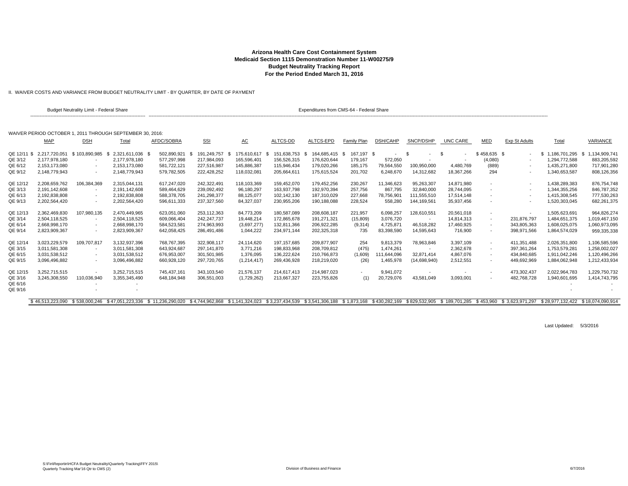II. WAIVER COSTS AND VARIANCE FROM BUDGET NEUTRALITY LIMIT - BY QUARTER, BY DATE OF PAYMENT

|             |                  | Budget Neutrality Limit - Federal Share                   |                          |                                                                                                                                                                                                 |             |                     |                   | Expenditures from CMS-64 - Federal Share |             |             |                          |            |                          |               |                 |                     |
|-------------|------------------|-----------------------------------------------------------|--------------------------|-------------------------------------------------------------------------------------------------------------------------------------------------------------------------------------------------|-------------|---------------------|-------------------|------------------------------------------|-------------|-------------|--------------------------|------------|--------------------------|---------------|-----------------|---------------------|
|             |                  | WAIVER PERIOD OCTOBER 1, 2011 THROUGH SEPTEMBER 30, 2016; |                          |                                                                                                                                                                                                 |             |                     |                   |                                          |             |             |                          |            |                          |               |                 |                     |
|             | <b>MAP</b>       | <b>DSH</b>                                                | Total                    | AFDC/SOBRA                                                                                                                                                                                      | <u>SSI</u>  | AC                  | ALTCS-DD          | ALTCS-EPD                                | Family Plan | DSH/CAHP    | SNCP/DSHP                | UNC CARE   | MED                      | Exp St Adults | Total           | <b>VARIANCE</b>     |
| QE 12/11 \$ | 2.217.720.051    | \$103.890.985                                             | 2.321.611.036            | 502.890.921                                                                                                                                                                                     | 191.249.757 | 175.610.617<br>- \$ | 151.638.753<br>-S | 164.685.415 \$                           | 167.197 \$  |             | - \$                     | - \$       | \$458.635\$              |               | \$1.186.701.295 | 1.134.909.741<br>-S |
| QE 3/12     | 2.177.978.180    |                                                           | 2.177.978.180            | 577.297.998                                                                                                                                                                                     | 217,984,093 | 165.596.401         | 156.526.315       | 176.620.644                              | 179.167     | 572,050     |                          |            | (4,080)                  |               | 1.294.772.588   | 883.205.592         |
| QE 6/12     | 2.153.173.080    | $\overline{\phantom{a}}$                                  | 2.153.173.080            | 581.722.121                                                                                                                                                                                     | 227.516.987 | 145.886.387         | 115.946.434       | 179.020.266                              | 185,175     | 79.564.550  | 100,950,000              | 4.480.769  | (889)                    |               | 1.435.271.800   | 717.901.280         |
| QE 9/12     | 2,148,779,943    | $\overline{\phantom{a}}$                                  | 2,148,779,943            | 579,782,505                                                                                                                                                                                     | 222,428,252 | 118,032,081         | 205,664,611       | 175,615,524                              | 201,702     | 6,248,670   | 14,312,682               | 18,367,266 | 294                      |               | 1,340,653,587   | 808,126,356         |
| QE 12/12    | 2,208,659,762    | 106,384,369                                               | 2.315.044.131            | 617,247,020                                                                                                                                                                                     | 242,322,491 | 118,103,369         | 159,452,070       | 179,452,256                              | 230,267     | 11,346,623  | 95,263,307               | 14.871.980 | $\overline{\phantom{a}}$ |               | 1,438,289,383   | 876,754,748         |
| QE 3/13     | 2.191.142.608    |                                                           | 2.191.142.608            | 589.464.629                                                                                                                                                                                     | 239.092.492 | 96,180,297          | 163.937.798       | 192,970,394                              | 257.756     | 867.795     | 32,840,000               | 28.744.095 |                          |               | 1.344.355.256   | 846.787.352         |
| QE 6/13     | 2.192.838.808    |                                                           | 2,192,838,808            | 588,378,705                                                                                                                                                                                     | 241,298,377 | 88,125,077          | 102.142.130       | 187,310,029                              | 227,668     | 78,756,901  | 111,555,510              | 17,514,148 |                          |               | 1,415,308,545   | 777,530,263         |
| QE 9/13     | 2,202,564,420    |                                                           | 2.202.564.420            | 596.611.333                                                                                                                                                                                     | 237,327,560 | 84.327.037          | 230,955,206       | 190,188,088                              | 228,524     | 558,280     | 144,169,561              | 35,937,456 |                          |               | 1,520,303,045   | 682,261,375         |
| QE 12/13    | 2,362,469,830    | 107,980,135                                               | 2,470,449,965            | 623,051,060                                                                                                                                                                                     | 253,112,363 | 84,773,209          | 180,587,089       | 208,608,187                              | 221,957     | 6,098,257   | 128,610,551              | 20,561,018 | $\overline{\phantom{a}}$ |               | 1,505,623,691   | 964,826,274         |
| QE 3/14     | 2,504,118,525    |                                                           | 2,504,118,525            | 609,066,404                                                                                                                                                                                     | 242.247.737 | 19,448,214          | 172.865.678       | 191,271,321                              | (15,809)    | 3,076,720   | $\sim$                   | 14,814,313 | $\sim$                   | 231,876,797   | 1,484,651,375   | 1,019,467,150       |
| QE 6/14     | 2,668,998,170    | $\overline{\phantom{a}}$                                  | 2,668,998,170            | 584,523,581                                                                                                                                                                                     | 274,963,993 | (3,697,277)         | 132,811,366       | 206,922,285                              | (9,314)     | 4,725,87    | 46,518,282               | 17,460,925 | $\sim$                   | 343,805,363   | 1,608,025,075   | 1,060,973,095       |
| QE 9/14     | 2,823,909,367    |                                                           | 2,823,909,367            | 642,058,425                                                                                                                                                                                     | 286,491,486 | 1,044,222           | 234,971,144       | 202,325,318                              | 735         | 83,398,590  | 14,595,643               | 716,900    |                          | 398,971,566   | 1,864,574,029   | 959,335,338         |
| QE 12/14    | 3.023.229.579    | 109.707.817                                               | 3.132.937.396            | 768.767.395                                                                                                                                                                                     | 322.908.117 | 24.114.620          | 197.157.685       | 209.877.907                              | 254         | 9.813.379   | 78.963.846               | 3.397.109  | $\sim$                   | 411.351.488   | 2.026.351.800   | 1.106.585.596       |
| QE 3/15     | 3.011.581.308    |                                                           | 3.011.581.308            | 643.924.687                                                                                                                                                                                     | 297.141.870 | 3.771.216           | 198.833.968       | 208,709,812                              | (475)       | 1.474.261   | $\overline{\phantom{a}}$ | 2,362,678  | $\overline{\phantom{a}}$ | 397,361,264   | 1.753.579.281   | 1.258.002.027       |
| QE 6/15     | 3,031,538,512    |                                                           | 3,031,538,512            | 676,953,007                                                                                                                                                                                     | 301,501,985 | 1,376,095           | 136,222,624       | 210,766,873                              | (1,609)     | 111,644,096 | 32,871,414               | 4,867,076  |                          | 434,840,685   | 1,911,042,246   | 1,120,496,266       |
| QE 9/15     | 3,096,496,882    |                                                           | 3,096,496,882            | 660,928,120                                                                                                                                                                                     | 297,720,765 | (1,214,417)         | 269,436,928       | 218,219,020                              | (26)        | 1,465,978   | (14,698,940)             | 2,512,551  |                          | 449,692,969   | 1,884,062,948   | 1,212,433,934       |
| QE 12/15    | 3.252.715.515    |                                                           | 3.252.715.515            | 745.437.161                                                                                                                                                                                     | 343,103,540 | 21,576,137          | 214.617.413       | 214,987,023                              | $\sim$      | 9,941,072   | $\overline{\phantom{a}}$ |            | $\overline{\phantom{a}}$ | 473,302,437   | 2,022,964,783   | 1,229,750,732       |
| QE 3/16     | 3.245.308.550    | 110,036,940                                               | 3.355.345.490            | 648,184,948                                                                                                                                                                                     | 306,551,003 | (1,729,262)         | 213,667,327       | 223,755,826                              | (1)         | 20,729,076  | 43,581,049               | 3,093,001  |                          | 482,768,728   | 1,940,601,695   | 1,414,743,795       |
| QE 6/16     |                  |                                                           |                          |                                                                                                                                                                                                 |             |                     |                   |                                          |             |             |                          |            |                          |               |                 |                     |
| QE 9/16     |                  | $\overline{\phantom{a}}$                                  | $\overline{\phantom{a}}$ |                                                                                                                                                                                                 |             |                     |                   |                                          |             |             |                          |            |                          |               |                 |                     |
|             | \$46.513.223.090 |                                                           |                          | \$538,000.246 \$47.051.223.336 \$11.236.290.020 \$4.744.962.868 \$1.141.324.023 \$3.237.434.539 \$3.541.306.188 \$1.873.168 \$430.282.169 \$829.532.905 \$189.701.285 \$453.960 \$3.623.971.297 |             |                     |                   |                                          |             |             |                          |            |                          |               |                 |                     |

Last Updated: 5/3/2016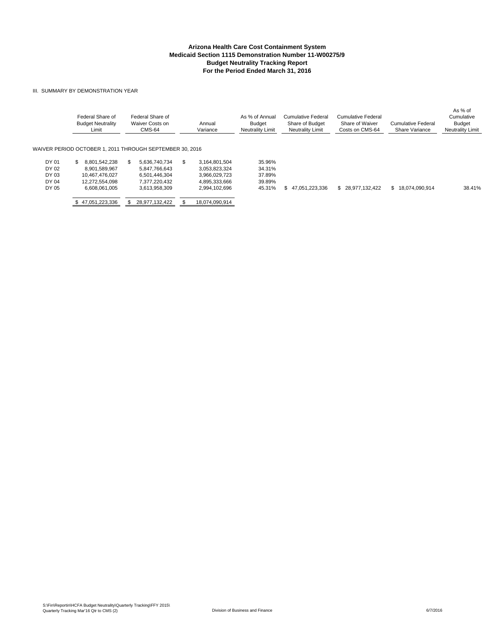#### III. SUMMARY BY DEMONSTRATION YEAR

|                                           | Federal Share of<br><b>Budget Neutrality</b><br>Limit                                     | Federal Share of<br>Waiver Costs on<br>CMS-64                                     | Annual<br>Variance                                                                       | As % of Annual<br><b>Budget</b><br><b>Neutrality Limit</b> | Cumulative Federal<br>Share of Budget<br><b>Neutrality Limit</b> | Cumulative Federal<br>Share of Waiver<br>Costs on CMS-64 | Cumulative Federal<br>Share Variance | As % of<br>Cumulative<br><b>Budget</b><br><b>Neutrality Limit</b> |
|-------------------------------------------|-------------------------------------------------------------------------------------------|-----------------------------------------------------------------------------------|------------------------------------------------------------------------------------------|------------------------------------------------------------|------------------------------------------------------------------|----------------------------------------------------------|--------------------------------------|-------------------------------------------------------------------|
|                                           | WAIVER PERIOD OCTOBER 1. 2011 THROUGH SEPTEMBER 30. 2016                                  |                                                                                   |                                                                                          |                                                            |                                                                  |                                                          |                                      |                                                                   |
| DY 01<br>DY 02<br>DY 03<br>DY 04<br>DY 05 | 8.801.542.238<br>£.<br>8.901.589.967<br>10.467.476.027<br>12.272.554.098<br>6.608.061.005 | 5.636.740.734<br>5.847.766.643<br>6.501.446.304<br>7.377.220.432<br>3.613.958.309 | 3.164.801.504<br>\$.<br>3,053,823,324<br>3.966.029.723<br>4,895,333,666<br>2.994.102.696 | 35.96%<br>34.31%<br>37.89%<br>39.89%<br>45.31%             | 47.051.223.336<br>S.                                             | \$28,977,132,422                                         | \$18.074.090.914                     | 38.41%                                                            |
|                                           | 47,051,223,336                                                                            | 28.977.132.422                                                                    | 18.074.090.914                                                                           |                                                            |                                                                  |                                                          |                                      |                                                                   |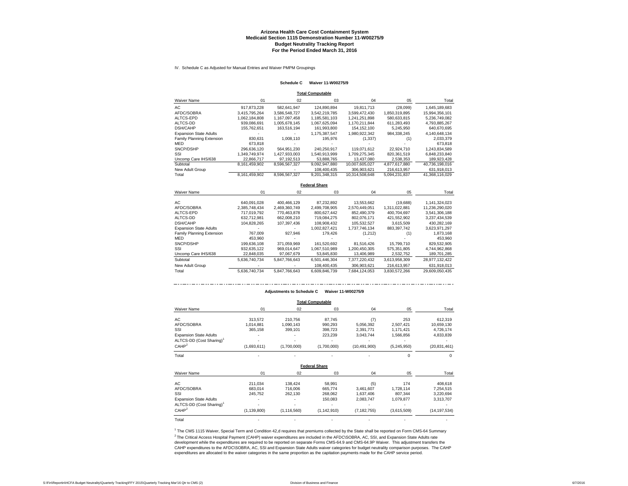IV. Schedule C as Adjusted for Manual Entries and Waiver PMPM Groupings

#### **Schedule C Waiver 11-W00275/9**

**Total Computable**

| Waiver Name                   | 01            | 02            | 03            | 04             | 05            | Total          |
|-------------------------------|---------------|---------------|---------------|----------------|---------------|----------------|
| AC                            | 917.873.228   | 582.641.947   | 124.890.894   | 19.811.713     | (28,099)      | 1,645,189,683  |
| AFDC/SOBRA                    | 3.415.795.264 | 3.586.548.727 | 3.542.219.785 | 3.599.472.430  | 1.850.319.895 | 15.994.356.101 |
| ALTCS-EPD                     | 1.062.184.808 | 1.167.097.458 | 1.185.581.103 | 1.241.251.898  | 580.633.815   | 5.236.749.082  |
| ALTCS-DD                      | 939.086.691   | 1.005.678.145 | 1.067.625.094 | 1.170.211.844  | 611.283.493   | 4,793,885,267  |
| DSH/CAHP                      | 155.762.651   | 163.516.194   | 161.993.800   | 154.152.100    | 5.245.950     | 640.670.695    |
| <b>Expansion State Adults</b> |               |               | 1.175.387.547 | 1.980.922.342  | 984.338.245   | 4.140.648.134  |
| Family Planning Extension     | 830.631       | 1.008.110     | 195.976       | (1, 337)       | (1)           | 2.033.379      |
| <b>MED</b>                    | 673.818       |               |               |                |               | 673,818        |
| SNCP/DSHP                     | 296.636.120   | 564.951.230   | 240.250.917   | 119.071.612    | 22.924.710    | 1.243.834.589  |
| SSI                           | 1.349.749.974 | 1.427.933.003 | 1.540.913.999 | 1.709.275.345  | 820.361.519   | 6.848.233.840  |
| Uncomp Care IHS/638           | 22.866.717    | 97.192.513    | 53.888.765    | 13,437,080     | 2.538.353     | 189.923.428    |
| Subtotal                      | 8.161.459.902 | 8.596.567.327 | 9.092.947.880 | 10.007.605.027 | 4.877.617.880 | 40.736.198.016 |
| New Adult Group               |               |               | 108.400.435   | 306.903.621    | 216.613.957   | 631.918.013    |
| Total                         | 8.161.459.902 | 8.596.567.327 | 9.201.348.315 | 10.314.508.648 | 5.094.231.837 | 41.368.116.029 |

**Federal Share**

| Waiver Name                   | 01            | 02            | 03            | 04            | 05            | Total          |
|-------------------------------|---------------|---------------|---------------|---------------|---------------|----------------|
| AC.                           | 640.091.028   | 400.466.129   | 87.232.892    | 13.553.662    | (19,688)      | 1,141,324,023  |
| AFDC/SOBRA                    | 2.385.748.434 | 2.469.360.749 | 2.499.708.905 | 2.570.449.051 | 1.311.022.881 | 11.236.290.020 |
| ALTCS-EPD                     | 717.019.792   | 770.463.878   | 800.627.442   | 852.490.379   | 400.704.697   | 3,541,306,188  |
| ALTCS-DD                      | 632.712.981   | 662.008.210   | 719.084.275   | 802.076.171   | 421.552.902   | 3.237.434.539  |
| <b>DSH/CAHP</b>               | 104.828.265   | 107.397.436   | 108.908.432   | 105.532.527   | 3.615.509     | 430.282.169    |
| <b>Expansion State Adults</b> |               |               | 1,002,827,421 | 1,737,746,134 | 883,397,742   | 3,623,971,297  |
| Family Planning Extension     | 767.009       | 927.946       | 179.426       | (1.212)       | (1)           | 1.873.168      |
| <b>MED</b>                    | 453.960       |               |               |               |               | 453.960        |
| SNCP/DSHP                     | 199.636.108   | 371.059.969   | 161.520.692   | 81.516.426    | 15.799.710    | 829,532,905    |
| SSI                           | 932.635.122   | 969.014.647   | 1.067.510.989 | 1.200.450.305 | 575.351.805   | 4,744,962,868  |
| Uncomp Care IHS/638           | 22.848.035    | 97.067.679    | 53,845,830    | 13,406,989    | 2,532,752     | 189,701,285    |
| Subtotal                      | 5.636.740.734 | 5.847.766.643 | 6.501.446.304 | 7.377.220.432 | 3.613.958.309 | 28,977,132,422 |
| New Adult Group               |               |               | 108.400.435   | 306.903.621   | 216.613.957   | 631.918.013    |
| Total                         | 5.636.740.734 | 5.847.766.643 | 6.609.846.739 | 7.684.124.053 | 3.830.572.266 | 29.609.050.435 |

#### **Adjustments to Schedule C Waiver 11-W00275/9**

|                                      |               |               | <b>Total Computable</b> |                |             |                |
|--------------------------------------|---------------|---------------|-------------------------|----------------|-------------|----------------|
| Waiver Name                          | 01            | 02            | 03                      | 04             | 05          | Total          |
| АC                                   | 313,572       | 210,756       | 87,745                  | (7)            | 253         | 612,319        |
| AFDC/SOBRA                           | 1,014,881     | 1,090,143     | 990,293                 | 5,056,392      | 2,507,421   | 10,659,130     |
| SSI                                  | 365,158       | 399,101       | 398,723                 | 2,391,771      | 1,171,421   | 4,726,174      |
| <b>Expansion State Adults</b>        |               |               | 223,239                 | 3,043,744      | 1,566,856   | 4,833,839      |
| ALTCS-DD (Cost Sharing) <sup>1</sup> |               |               |                         |                |             |                |
| CAHP <sup>2</sup>                    | (1,693,611)   | (1,700,000)   | (1,700,000)             | (10, 491, 900) | (5,245,950) | (20, 831, 461) |
| Total                                |               |               |                         |                |             | 0              |
|                                      |               |               | <b>Federal Share</b>    |                |             |                |
| Waiver Name                          | 01            | 02            | 03                      | 04             | 05          | Total          |
| АC                                   | 211,034       | 138,424       | 58,991                  | (5)            | 174         | 408,618        |
| AFDC/SOBRA                           | 683,014       | 716,006       | 665,774                 | 3,461,607      | 1,728,114   | 7,254,515      |
| SSI                                  | 245,752       | 262,130       | 268,062                 | 1,637,406      | 807,344     | 3,220,694      |
| <b>Expansion State Adults</b>        |               |               | 150,083                 | 2,083,747      | 1,079,877   | 3,313,707      |
| ALTCS-DD (Cost Sharing) <sup>1</sup> |               |               |                         |                |             |                |
| CAHP <sup>2</sup>                    | (1, 139, 800) | (1, 116, 560) | (1, 142, 910)           | (7, 182, 755)  | (3,615,509) | (14, 197, 534) |
| Total                                |               |               |                         |                |             |                |

<sup>2</sup> The Critical Access Hospital Payment (CAHP) waiver expenditures are included in the AFDC\SOBRA, AC, SSI, and Expansion State Adults rate development while the expenditures are required to be reported on separate Forms CMS-64.9 and CMS-64.9P Waiver. This adjustment transfers the CAHP expenditures to the AFDC\SOBRA, AC, SSI and Expansion State Adults waiver categories for budget neutrality comparison purposes. The CAHP expenditures are allocated to the waiver categories in the same proportion as the capitation payments made for the CAHP service period. 1 The CMS 1115 Waiver, Special Term and Condition 42,d requires that premiums collected by the State shall be reported on Form CMS-64 Summary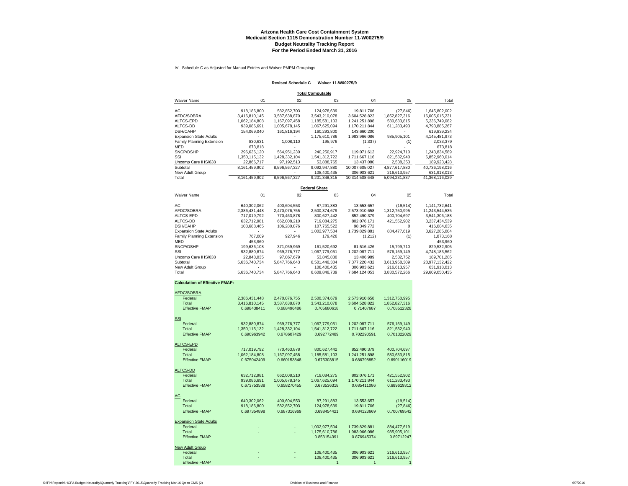IV. Schedule C as Adjusted for Manual Entries and Waiver PMPM Groupings

#### **Revised Schedule C Waiver 11-W00275/9**

**Total Computable**

| <b>Waiver Name</b>            | 01            | 02            | 03            | 04             | 05            | Total          |
|-------------------------------|---------------|---------------|---------------|----------------|---------------|----------------|
| AC                            | 918.186.800   | 582.852.703   | 124.978.639   | 19.811.706     | (27, 846)     | 1.645.802.002  |
| AFDC/SOBRA                    | 3.416.810.145 | 3.587.638.870 | 3.543.210.078 | 3.604.528.822  | 1.852.827.316 | 16.005.015.231 |
| ALTCS-EPD                     | 1.062.184.808 | 1.167.097.458 | 1.185.581.103 | 1.241.251.898  | 580.633.815   | 5,236,749,082  |
| ALTCS-DD                      | 939.086.691   | 1,005,678,145 | 1,067,625,094 | 1,170,211,844  | 611,283,493   | 4,793,885,267  |
| <b>DSH/CAHP</b>               | 154.069.040   | 161.816.194   | 160.293.800   | 143.660.200    |               | 619.839.234    |
| <b>Expansion State Adults</b> |               |               | 1.175.610.786 | 1.983.966.086  | 985.905.101   | 4,145,481,973  |
| Family Planning Extension     | 830.631       | 1.008.110     | 195.976       | (1, 337)       | (1)           | 2,033,379      |
| MED                           | 673.818       |               |               |                |               | 673.818        |
| SNCP/DSHP                     | 296.636.120   | 564.951.230   | 240.250.917   | 119.071.612    | 22.924.710    | 1.243.834.589  |
| SSI                           | 1.350.115.132 | 1,428,332,104 | 1.541.312.722 | 1.711.667.116  | 821.532.940   | 6.852.960.014  |
| Uncomp Care IHS/638           | 22,866,717    | 97,192,513    | 53,888,765    | 13,437,080     | 2,538,353     | 189,923,428    |
| Subtotal                      | 8.161.459.902 | 8.596.567.327 | 9.092.947.880 | 10.007.605.027 | 4.877.617.880 | 40.736.198.016 |
| New Adult Group               |               |               | 108.400.435   | 306.903.621    | 216.613.957   | 631,918,013    |
| Total                         | 8.161.459.902 | 8.596.567.327 | 9.201.348.315 | 10.314.508.648 | 5.094.231.837 | 41.368.116.029 |

**Federal Share**

| Waiver Name                   | 01            | 02            | 03            | 04            | 05            | Total          |
|-------------------------------|---------------|---------------|---------------|---------------|---------------|----------------|
| AС                            | 640.302.062   | 400.604.553   | 87.291.883    | 13.553.657    | (19, 514)     | 1,141,732,641  |
| AFDC/SOBRA                    | 2,386,431,448 | 2,470,076,755 | 2,500,374,679 | 2,573,910,658 | 1,312,750,995 | 11,243,544,535 |
| ALTCS-EPD                     | 717.019.792   | 770.463.878   | 800.627.442   | 852.490.379   | 400.704.697   | 3.541.306.188  |
| ALTCS-DD                      | 632.712.981   | 662.008.210   | 719.084.275   | 802.076.171   | 421.552.902   | 3,237,434,539  |
| DSH/CAHP                      | 103.688.465   | 106.280.876   | 107.765.522   | 98.349.772    |               | 416,084,635    |
| <b>Expansion State Adults</b> |               |               | 1.002.977.504 | 1.739.829.881 | 884.477.619   | 3,627,285,004  |
| Family Planning Extension     | 767.009       | 927.946       | 179,426       | (1,212)       | (1)           | 1.873.168      |
| MED                           | 453.960       |               |               |               |               | 453.960        |
| SNCP/DSHP                     | 199.636.108   | 371.059.969   | 161.520.692   | 81.516.426    | 15,799,710    | 829,532,905    |
| SSI                           | 932.880.874   | 969.276.777   | 1.067.779.051 | 1.202.087.711 | 576.159.149   | 4.748.183.562  |
| Uncomp Care IHS/638           | 22,848,035    | 97.067.679    | 53.845.830    | 13,406,989    | 2.532.752     | 189,701,285    |
| Subtotal                      | 5.636.740.734 | 5.847.766.643 | 6.501.446.304 | 7.377.220.432 | 3.613.958.309 | 28.977.132.422 |
| New Adult Group               |               |               | 108,400,435   | 306.903.621   | 216,613,957   | 631,918,013    |
| Total                         | 5.636.740.734 | 5.847.766.643 | 6.609.846.739 | 7.684.124.053 | 3.830.572.266 | 29.609.050.435 |

#### **Calculation of Effective FMAP:**

| AFDC/SOBRA             |               |               |               |               |               |
|------------------------|---------------|---------------|---------------|---------------|---------------|
| Federal                | 2,386,431,448 | 2,470,076,755 | 2,500,374,679 | 2,573,910,658 | 1,312,750,995 |
| Total                  | 3,416,810,145 | 3,587,638,870 | 3,543,210,078 | 3,604,528,822 | 1,852,827,316 |
| <b>Effective FMAP</b>  | 0.698438411   | 0.688496486   | 0.705680618   | 0.71407687    | 0.708512328   |
|                        |               |               |               |               |               |
| SSI                    |               |               |               |               |               |
| Federal                | 932,880,874   | 969,276,777   | 1,067,779,051 | 1,202,087,711 | 576,159,149   |
| Total                  | 1,350,115,132 | 1,428,332,104 | 1,541,312,722 | 1,711,667,116 | 821.532.940   |
| <b>Effective FMAP</b>  | 0.690963942   | 0.678607429   | 0.692772489   | 0.702290591   | 0.701322029   |
| ALTCS-EPD              |               |               |               |               |               |
| Federal                | 717,019,792   | 770,463,878   | 800,627,442   | 852,490,379   | 400,704,697   |
| Total                  | 1,062,184,808 | 1,167,097,458 | 1,185,581,103 | 1,241,251,898 | 580,633,815   |
| <b>Effective FMAP</b>  | 0.675042409   | 0.660153848   | 0.675303815   | 0.686798852   | 0.690116019   |
|                        |               |               |               |               |               |
| ALTCS-DD               |               |               |               |               |               |
| Federal                | 632,712,981   | 662,008,210   | 719,084,275   | 802,076,171   | 421,552,902   |
| Total                  | 939.086.691   | 1,005,678,145 | 1.067.625.094 | 1,170,211,844 | 611.283.493   |
| <b>Effective FMAP</b>  | 0.673753538   | 0.658270455   | 0.673536318   | 0.685411086   | 0.689619312   |
| AС                     |               |               |               |               |               |
| Federal                | 640,302,062   | 400,604,553   | 87,291,883    | 13,553,657    | (19, 514)     |
| Total                  | 918.186.800   | 582,852,703   | 124,978,639   | 19.811.706    | (27, 846)     |
| <b>Effective FMAP</b>  | 0.697354898   | 0.687316969   | 0.698454421   | 0.684123669   | 0.700769542   |
|                        |               |               |               |               |               |
| Expansion State Adults |               |               |               |               |               |
| Federal                |               |               | 1,002,977,504 | 1,739,829,881 | 884,477,619   |
| Total                  |               |               | 1,175,610,786 | 1,983,966,086 | 985,905,101   |
| <b>Effective FMAP</b>  |               |               | 0.853154391   | 0.876945374   | 0.89712247    |
| New Adult Group        |               |               |               |               |               |
| Federal                |               |               | 108,400,435   | 306,903,621   | 216,613,957   |
| Total                  |               |               | 108,400,435   | 306,903,621   | 216,613,957   |
| Effective FMAP         |               |               |               |               |               |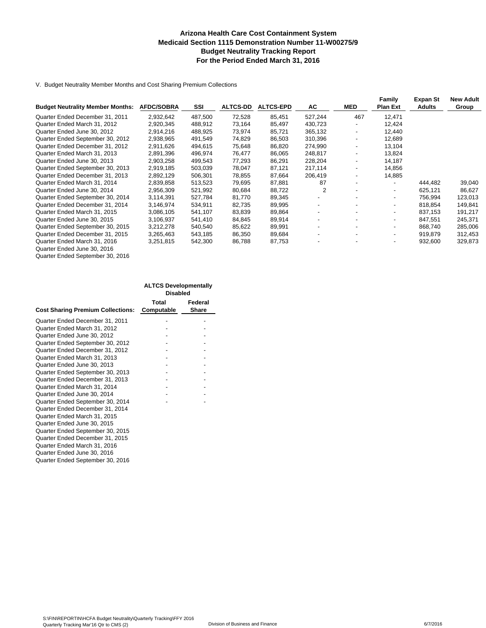#### **Arizona Health Care Cost Containment System Medicaid Section 1115 Demonstration Number 11-W00275/9 Budget Neutrality Tracking Report For the Period Ended March 31, 2016**

V. Budget Neutrality Member Months and Cost Sharing Premium Collections

|                                         |                   |         |                 |                  |                          |                          | Family                   | Expan St      | <b>New Adult</b> |
|-----------------------------------------|-------------------|---------|-----------------|------------------|--------------------------|--------------------------|--------------------------|---------------|------------------|
| <b>Budget Neutrality Member Months:</b> | <b>AFDC/SOBRA</b> | SSI     | <b>ALTCS-DD</b> | <b>ALTCS-EPD</b> | AC                       | MED                      | <b>Plan Ext</b>          | <b>Adults</b> | Group            |
| Quarter Ended December 31, 2011         | 2.932.642         | 487,500 | 72,528          | 85,451           | 527,244                  | 467                      | 12.471                   |               |                  |
| Quarter Ended March 31, 2012            | 2,920,345         | 488,912 | 73,164          | 85,497           | 430,723                  |                          | 12,424                   |               |                  |
| Quarter Ended June 30, 2012             | 2,914,216         | 488,925 | 73,974          | 85,721           | 365,132                  | $\overline{\phantom{a}}$ | 12,440                   |               |                  |
| Quarter Ended September 30, 2012        | 2,938,965         | 491,549 | 74,829          | 86,503           | 310,396                  |                          | 12,689                   |               |                  |
| Quarter Ended December 31, 2012         | 2,911,626         | 494,615 | 75,648          | 86,820           | 274,990                  |                          | 13.104                   |               |                  |
| Quarter Ended March 31, 2013            | 2,891,396         | 496,974 | 76,477          | 86,065           | 248,817                  |                          | 13,824                   |               |                  |
| Quarter Ended June 30, 2013             | 2,903,258         | 499,543 | 77,293          | 86,291           | 228,204                  | $\overline{\phantom{a}}$ | 14.187                   |               |                  |
| Quarter Ended September 30, 2013        | 2,919,185         | 503,039 | 78,047          | 87,121           | 217,114                  |                          | 14,856                   |               |                  |
| Quarter Ended December 31, 2013         | 2,892,129         | 506,301 | 78,855          | 87,664           | 206,419                  |                          | 14,885                   |               |                  |
| Quarter Ended March 31, 2014            | 2,839,858         | 513,523 | 79,695          | 87,881           | 87                       |                          | $\overline{\phantom{0}}$ | 444,482       | 39,040           |
| Quarter Ended June 30, 2014             | 2,956,309         | 521,992 | 80,684          | 88,722           | 2                        | $\overline{\phantom{0}}$ | $\sim$                   | 625,121       | 86,627           |
| Quarter Ended September 30, 2014        | 3,114,391         | 527,784 | 81,770          | 89,345           | $\overline{\phantom{a}}$ |                          | $\overline{\phantom{0}}$ | 756.994       | 123,013          |
| Quarter Ended December 31, 2014         | 3,146,974         | 534.911 | 82,735          | 89,995           | $\overline{\phantom{a}}$ |                          |                          | 818.854       | 149,841          |
| Quarter Ended March 31, 2015            | 3,086,105         | 541,107 | 83,839          | 89,864           | $\overline{\phantom{a}}$ |                          |                          | 837,153       | 191,217          |
| Quarter Ended June 30, 2015             | 3,106,937         | 541,410 | 84,845          | 89,914           | $\overline{\phantom{a}}$ |                          | $\overline{\phantom{0}}$ | 847,551       | 245,371          |
| Quarter Ended September 30, 2015        | 3,212,278         | 540,540 | 85,622          | 89,991           | $\overline{\phantom{a}}$ |                          | $\overline{\phantom{0}}$ | 868.740       | 285,006          |
| Quarter Ended December 31, 2015         | 3,265,463         | 543,185 | 86,350          | 89,684           | $\overline{\phantom{a}}$ |                          | $\overline{\phantom{0}}$ | 919,879       | 312,453          |
| Quarter Ended March 31, 2016            | 3,251,815         | 542,300 | 86,788          | 87,753           |                          |                          | ٠                        | 932,600       | 329,873          |
| Quarter Ended June 30, 2016             |                   |         |                 |                  |                          |                          |                          |               |                  |

| Quarter Ended September 30, 2016 |  |
|----------------------------------|--|
|                                  |  |

|                                          | <b>ALTCS Developmentally</b> |         |
|------------------------------------------|------------------------------|---------|
|                                          | <b>Disabled</b>              |         |
|                                          | Total                        | Federal |
| <b>Cost Sharing Premium Collections:</b> | Computable                   | Share   |
| Quarter Ended December 31, 2011          |                              |         |
| Quarter Ended March 31, 2012             |                              |         |
| Quarter Ended June 30, 2012              |                              |         |
| Quarter Ended September 30, 2012         |                              |         |
| Quarter Ended December 31, 2012          |                              |         |
| Quarter Ended March 31, 2013             |                              |         |
| Quarter Ended June 30, 2013              |                              |         |
| Quarter Ended September 30, 2013         |                              |         |
| Quarter Ended December 31, 2013          |                              |         |
| Quarter Ended March 31, 2014             |                              |         |
| Quarter Ended June 30, 2014              |                              |         |
| Quarter Ended September 30, 2014         |                              |         |
| Quarter Ended December 31, 2014          |                              |         |
| Quarter Ended March 31, 2015             |                              |         |
| Quarter Ended June 30, 2015              |                              |         |
| Quarter Ended September 30, 2015         |                              |         |
| Quarter Ended December 31, 2015          |                              |         |
| Quarter Ended March 31, 2016             |                              |         |
| Quarter Ended June 30, 2016              |                              |         |
| Quarter Ended September 30, 2016         |                              |         |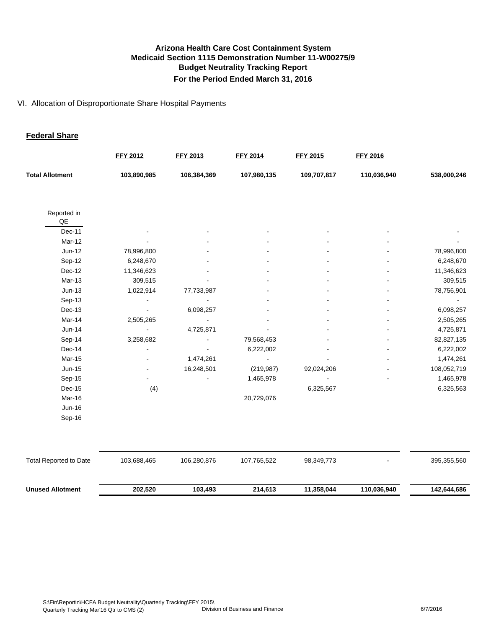#### VI. Allocation of Disproportionate Share Hospital Payments

#### **Federal Share**

|                                       | <b>FFY 2012</b> | <b>FFY 2013</b> | <b>FFY 2014</b> | <b>FFY 2015</b> | <b>FFY 2016</b> |             |
|---------------------------------------|-----------------|-----------------|-----------------|-----------------|-----------------|-------------|
| <b>Total Allotment</b>                | 103,890,985     | 106,384,369     | 107,980,135     | 109,707,817     | 110,036,940     | 538,000,246 |
|                                       |                 |                 |                 |                 |                 |             |
| Reported in<br>$\mathsf{Q}\mathsf{E}$ |                 |                 |                 |                 |                 |             |
| Dec-11                                |                 |                 |                 |                 |                 |             |
| Mar-12                                |                 |                 |                 |                 |                 |             |
| $Jun-12$                              | 78,996,800      |                 |                 |                 |                 | 78,996,800  |
| Sep-12                                | 6,248,670       |                 |                 |                 |                 | 6,248,670   |
| Dec-12                                | 11,346,623      |                 |                 |                 |                 | 11,346,623  |
| Mar-13                                | 309,515         |                 |                 |                 |                 | 309,515     |
| $Jun-13$                              | 1,022,914       | 77,733,987      |                 |                 |                 | 78,756,901  |
| Sep-13                                |                 |                 |                 |                 |                 |             |
| Dec-13                                |                 | 6,098,257       |                 |                 |                 | 6,098,257   |
| Mar-14                                | 2,505,265       |                 |                 |                 |                 | 2,505,265   |
| $Jun-14$                              |                 | 4,725,871       |                 |                 |                 | 4,725,871   |
| Sep-14                                | 3,258,682       |                 | 79,568,453      |                 |                 | 82,827,135  |
| Dec-14                                |                 |                 | 6,222,002       |                 |                 | 6,222,002   |
| Mar-15                                |                 | 1,474,261       |                 |                 |                 | 1,474,261   |
| Jun-15                                |                 | 16,248,501      | (219, 987)      | 92,024,206      |                 | 108,052,719 |
| Sep-15                                |                 |                 | 1,465,978       |                 |                 | 1,465,978   |
| Dec-15                                | (4)             |                 |                 | 6,325,567       |                 | 6,325,563   |
| Mar-16                                |                 |                 | 20,729,076      |                 |                 |             |
| Jun-16                                |                 |                 |                 |                 |                 |             |
| Sep-16                                |                 |                 |                 |                 |                 |             |
|                                       |                 |                 |                 |                 |                 |             |
| <b>Total Reported to Date</b>         | 103,688,465     | 106,280,876     | 107,765,522     | 98,349,773      |                 | 395,355,560 |
| <b>Unused Allotment</b>               | 202,520         | 103,493         | 214,613         | 11,358,044      | 110,036,940     | 142,644,686 |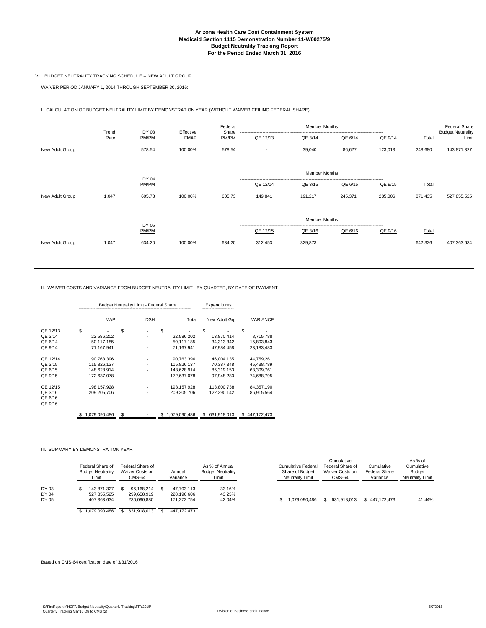#### **Arizona Health Care Cost Containment System Medicaid Section 1115 Demonstration Number 11-W00275/9 Budget Neutrality Tracking Report For the Period Ended March 31, 2016**

#### VII. BUDGET NEUTRALITY TRACKING SCHEDULE -- NEW ADULT GROUP

WAIVER PERIOD JANUARY 1, 2014 THROUGH SEPTEMBER 30, 2016:

I. CALCULATION OF BUDGET NEUTRALITY LIMIT BY DEMONSTRATION YEAR (WITHOUT WAIVER CEILING FEDERAL SHARE)

|                 | Trend | DY 03          |                          | Federal<br>Share | <b>Member Months</b>     |                      |         |         |         | <b>Federal Share</b><br><b>Budget Neutrality</b> |
|-----------------|-------|----------------|--------------------------|------------------|--------------------------|----------------------|---------|---------|---------|--------------------------------------------------|
|                 | Rate  | PM/PM          | Effective<br><b>FMAP</b> | PM/PM            | QE 12/13                 | QE 3/14              | QE 6/14 | QE 9/14 | Total   | Limit                                            |
| New Adult Group |       | 578.54         | 100.00%                  | 578.54           | $\overline{\phantom{a}}$ | 39,040               | 86,627  | 123,013 | 248,680 | 143,871,327                                      |
|                 |       |                |                          |                  |                          | <b>Member Months</b> |         |         |         |                                                  |
|                 |       | DY 04<br>PM/PM |                          |                  | QE 12/14                 | QE 3/15              | QE 6/15 | QE 9/15 | Total   |                                                  |
| New Adult Group | 1.047 | 605.73         | 100.00%                  | 605.73           | 149,841                  | 191,217              | 245,371 | 285,006 | 871,435 | 527,855,525                                      |
|                 |       | DY 05          |                          |                  |                          | <b>Member Months</b> |         |         |         |                                                  |
|                 |       | PM/PM          |                          |                  | QE 12/15                 | QE 3/16              | QE 6/16 | QE 9/16 | Total   |                                                  |
| New Adult Group | 1.047 | 634.20         | 100.00%                  | 634.20           | 312,453                  | 329,873              |         |         | 642,326 | 407,363,634                                      |

II. WAIVER COSTS AND VARIANCE FROM BUDGET NEUTRALITY LIMIT - BY QUARTER, BY DATE OF PAYMENT

|          |     | <b>Budget Neutrality Limit - Federal Share</b> |    |            | Expenditures |               |                   |   |               |
|----------|-----|------------------------------------------------|----|------------|--------------|---------------|-------------------|---|---------------|
|          |     | MAP                                            |    | <b>DSH</b> |              | Total         | New Adult Grp     |   | VARIANCE      |
| QE 12/13 | \$  |                                                | \$ |            | \$           |               | \$                | S |               |
| QE 3/14  |     | 22.586.202                                     |    |            |              | 22.586.202    | 13.870.414        |   | 8,715,788     |
| QE 6/14  |     | 50,117,185                                     |    |            |              | 50,117,185    | 34,313,342        |   | 15,803,843    |
| QE 9/14  |     | 71.167.941                                     |    |            |              | 71.167.941    | 47.984.458        |   | 23.183.483    |
| QE 12/14 |     | 90,763,396                                     |    |            |              | 90,763,396    | 46,004,135        |   | 44,759,261    |
| QE 3/15  |     | 115,826,137                                    |    |            |              | 115,826,137   | 70,387,348        |   | 45,438,789    |
| QE 6/15  |     | 148,628,914                                    |    |            |              | 148.628.914   | 85,319,153        |   | 63,309,761    |
| QE 9/15  |     | 172.637.078                                    |    |            |              | 172.637.078   | 97.948.283        |   | 74.688.795    |
| QE 12/15 |     | 198,157,928                                    |    |            |              | 198.157.928   | 113,800,738       |   | 84,357,190    |
| QE 3/16  |     | 209.205.706                                    |    |            |              | 209.205.706   | 122.290.142       |   | 86,915,564    |
| QE 6/16  |     |                                                |    |            |              |               |                   |   |               |
| QE 9/16  |     |                                                |    |            |              |               |                   |   |               |
|          | \$. | 1,079,090,486                                  | S  |            | S            | 1,079,090,486 | 631,918,013<br>\$ | S | 447, 172, 473 |

#### III. SUMMARY BY DEMONSTRATION YEAR

|                         | Federal Share of<br><b>Budget Neutrality</b><br>Limit | Federal Share of<br>Waiver Costs on<br>CMS-64 | Annual<br>Variance                       | As % of Annual<br><b>Budget Neutrality</b><br>Limit | Cumulative<br>Federal Share of<br>Cumulative Federal<br>Cumulative<br>Waiver Costs on<br><b>Federal Share</b><br>Share of Budget<br>Variance<br><b>Neutrality Limit</b><br>CMS-64 | As % of<br>Cumulative<br><b>Budget</b><br><b>Neutrality Limit</b> |
|-------------------------|-------------------------------------------------------|-----------------------------------------------|------------------------------------------|-----------------------------------------------------|-----------------------------------------------------------------------------------------------------------------------------------------------------------------------------------|-------------------------------------------------------------------|
| DY 03<br>DY 04<br>DY 05 | 143.871.327<br>527.855.525<br>407.363.634             | 96.168.214<br>299.658.919<br>236.090.880      | 47.703.113<br>228.196.606<br>171.272.754 | 33.16%<br>43.23%<br>42.04%                          | 1.079.090.486<br>631.918.013<br>\$447.172.473                                                                                                                                     | 41.44%                                                            |
|                         | 1.079.090.486                                         | 631.918.013                                   | 447.172.473                              |                                                     |                                                                                                                                                                                   |                                                                   |

#### Based on CMS-64 certification date of 3/31/2016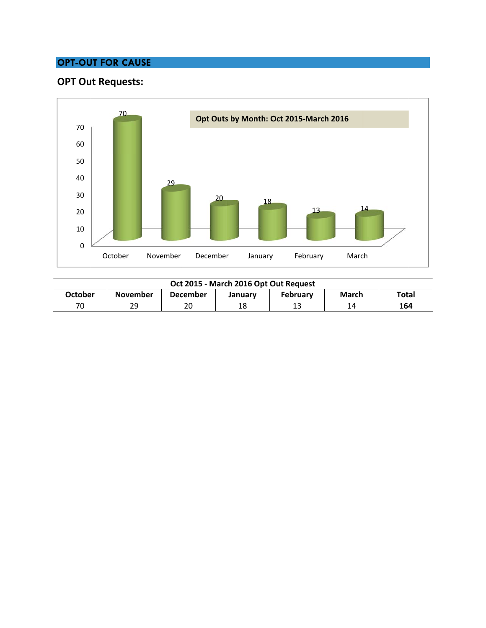# **OPT-OUT FOR CAUSE**

# **OPT** Out Requests:



| Oct 2015 - March 2016 Opt Out Request |                 |          |         |                 |       |       |
|---------------------------------------|-----------------|----------|---------|-----------------|-------|-------|
| October                               | <b>November</b> | December | January | <b>February</b> | March | Total |
| 70                                    | 29              | 20       | 18      |                 | 14    | 164   |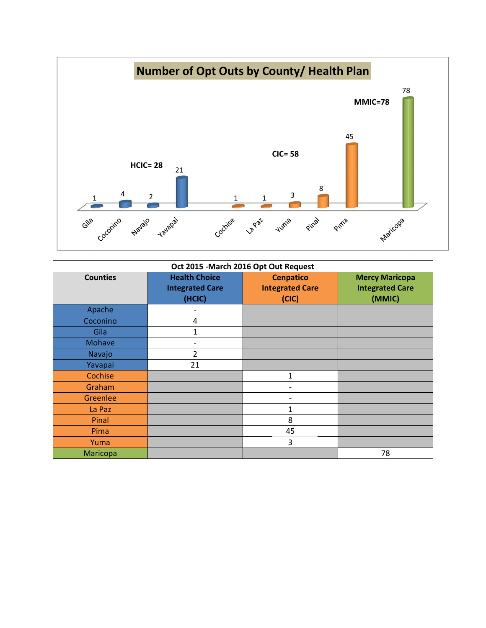

| Oct 2015 - March 2016 Opt Out Request |                                                          |                                                     |                                                           |  |  |
|---------------------------------------|----------------------------------------------------------|-----------------------------------------------------|-----------------------------------------------------------|--|--|
| <b>Counties</b>                       | <b>Health Choice</b><br><b>Integrated Care</b><br>(HCIC) | <b>Cenpatico</b><br><b>Integrated Care</b><br>(CIC) | <b>Mercy Maricopa</b><br><b>Integrated Care</b><br>(MMIC) |  |  |
| Apache                                |                                                          |                                                     |                                                           |  |  |
| Coconino                              | 4                                                        |                                                     |                                                           |  |  |
| Gila                                  | 1                                                        |                                                     |                                                           |  |  |
| Mohave                                |                                                          |                                                     |                                                           |  |  |
| Navajo                                | $\overline{2}$                                           |                                                     |                                                           |  |  |
| Yavapai                               | 21                                                       |                                                     |                                                           |  |  |
| Cochise                               |                                                          | $\mathbf{1}$                                        |                                                           |  |  |
| Graham                                |                                                          |                                                     |                                                           |  |  |
| Greenlee                              |                                                          |                                                     |                                                           |  |  |
| La Paz                                |                                                          | $\mathbf{1}$                                        |                                                           |  |  |
| Pinal                                 |                                                          | 8                                                   |                                                           |  |  |
| Pima                                  |                                                          | 45                                                  |                                                           |  |  |
| Yuma                                  |                                                          | 3                                                   |                                                           |  |  |
| Maricopa                              |                                                          |                                                     | 78                                                        |  |  |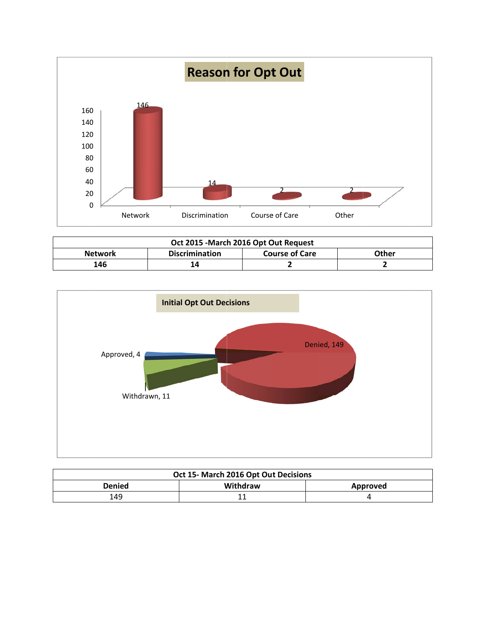

| Oct 2015 - March 2016 Opt Out Request |                       |                       |       |  |  |
|---------------------------------------|-----------------------|-----------------------|-------|--|--|
| <b>Network</b>                        | <b>Discrimination</b> | <b>Course of Care</b> | Other |  |  |
| 146                                   | 14                    |                       |       |  |  |



| Oct 15- March 2016 Opt Out Decisions |          |          |  |  |
|--------------------------------------|----------|----------|--|--|
| Denied                               | Withdraw | Approved |  |  |
| 149                                  |          |          |  |  |